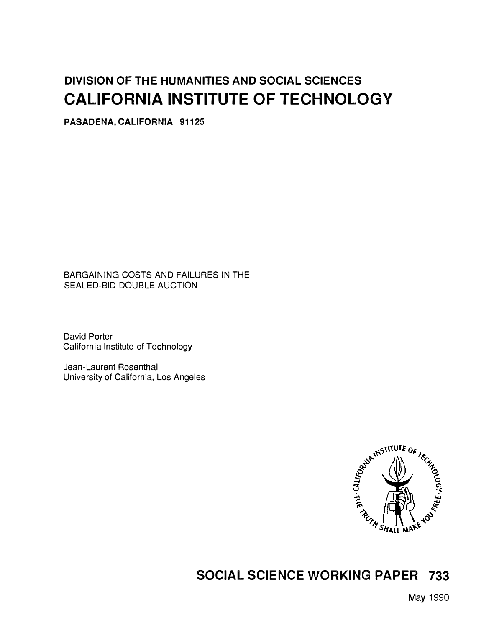# DIVISION OF THE HUMANITIES AND SOCIAL SCIENCES CALIFORNIA INSTITUTE OF TECHNOLOGY

PASADENA, CALIFORNIA 91125

BARGAINING COSTS AND FAILURES IN THE SEALED-BID DOUBLE AUCTION

David Porter California Institute of Technology

Jean-Laurent Rosenthal University of California, Los Angeles



# SOCIAL SCIENCE WORKING PAPER 733

May 1990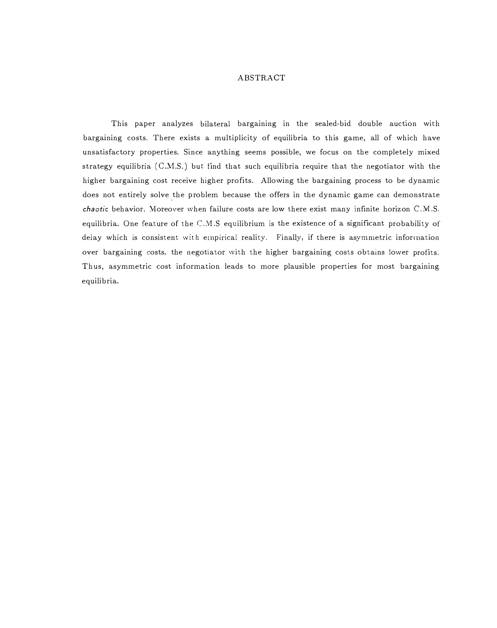# ABSTRACT

This paper analyzes bilateral bargaining in the sealed-bid double auction with bargaining costs. There exists a multiplicity of equilibria to this game, all of which have unsatisfactory properties. Since anything seems possible, we focus on the completely mixed strategy equilibria  $(C.M.S.)$  but find that such equilibria require that the negotiator with the higher bargaining cost receive higher profits. Allowing the bargaining process to be dynamic does not entirely solve the problem because the offers in the dynamic game can demonstrate \_  $ch$ aotic behavior. Moreover when failure costs are low there exist many infinite horizon C.M.S. equilibria. One feature of the  $C.M.S$  equilibrium is the existence of a significant probability of delay which is consistent with empirical reality. Finally, if there is asymmetric information over bargaining costs. the negotiator with the higher bargaining costs obtains lower profits. Thus, asymmetric cost information leads to more plausible properties for most bargaining equilibria.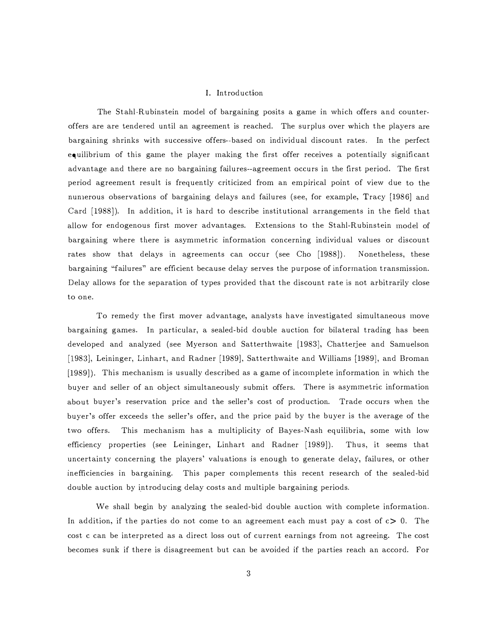#### I. Introduction

The Stahl-Rubinstein model of bargaining posits a game in which offers and counteroffers are are tendered until an agreement is reached. The surplus over \Vhich the players are bargaining shrinks with successive offers--based on individual discount rates. In the perfect equilibrium of this game the player making the first offer receives a potentially significant advantage and there are no bargaining failures--agreement occurs in the first period. The first period agreement result is frequently criticized from an empirical point of view due to the nunierous observations of bargaining delays and failures (see, for example, Tracy [1986] and Card [1988]). In addition, it is hard to describe institutional arrangements in the field that allow for endogenous first mover advantages. Extensions to the Stahl-Rubinstein rnodel of bargaining where there is asymrnetric information concerning individual values or discount rates show that delays in agreements can occur (see Cho [1988]). Nonetheless, these bargaining "failures" are efficient because delay serves the purpose of information transmission. Delay allows for the separation of types provided that the discount rate is not arbitrarily close to one.

To remedy the first mover advantage, analysts have investigated simultaneous move bargaining games. In particular, a sealed-bid double auction for bilateral trading has been developed and analyzed (see Myerson and Satterthwaite [1983], Chatterjee and Samuelson [1983], Leininger, Linhart, and Radner [1989], Satterthwaite and Williams [1989], and Broman  $[1989]$ . This mechanism is usually described as a game of incomplete information in which the buyer and seller of an object simultaneously submit offers. There is asyminetric information about buyer's reservation price and the seller's cost of production. Trade occurs when the buyer's offer exceeds the seller's offer, and the price paid by the buyer is the average of the two offers. This mechanism has a multiplicity of Bayes-Nash equilibria, some with low efficiency properties (see Leininger, Linhart and Radner [1989]). Thus, it seems that uncertainty concerning the players' valuations is enough to generate delay, failures, or other inefficiencies in bargaining. This paper complements this recent research of the sealed-bid double auction by introducing delay costs and multiple bargaining periods.

We shall begin by analyzing the sealed-bid double auction with complete information. In addition, if the parties do not come to an agreement each must pay a cost of  $c > 0$ . The cost c can be interpreted as a direct loss out of current earnings from not agreeing. The cost becomes sunk if there is disagreement but can be avoided if the parties reach an accord. For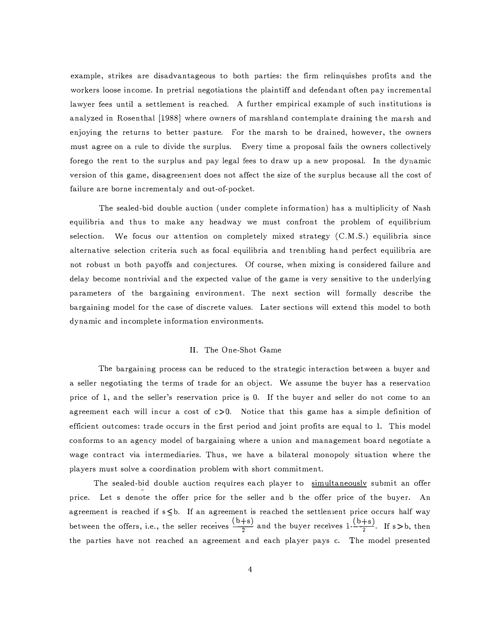example, strikes are disadvantageous to both parties: the firm relinquishes profits and the workers loose income. In pretrial negotiations the plaintiff and defendant often pay incremental lawyer fees until a settlement is reached. A further empirical example of such institutions is analyzed in Rosenthal [1988] where owners of marshland contemplate draining the marsh and enjoying the returns to better pasture. For the marsh to be drained, however, the owners must agree on a rule to divide the surplus. Every time a proposal fails the owners collectively forego the rent to the surplus and pay legal fees to draw up a new proposal. In the dynamic version of this game, disagreenient does not affect the size of the surplus because all the cost of failure are borne incrementaly and out-of-pocket.

The sealed-bid double auction ( under complete information) has a multiplicity of Nash equilibria and thus to make any headway we must confront the problem of equilibrium selection. We focus our attention on completely mixed strategy  $(C.M.S.)$  equilibria since alternative selection criteria such as focal equilibria and trenibling hand perfect equilibria are not robust 1n both payoffs and conjectures. Of course, when mixing is considered failure and delay become nontrivial and the expected value of the game is very sensitive to the underlying parameters of the bargaining environment. The next section \vill formally describe the bargaining model for the case of discrete values. Later sections will extend this model to both dynamic and incomplete information environments.

# II. The One-Shot Game

The bargaining process can be reduced to the strategic interaction between a buyer and a seller negotiating the terms of trade for an object. We assume the buyer has a reservation price of 1, and the seller's reservation price is 0. If the buyer and seller do not come to an agreement each will incur a cost of  $c>0$ . Notice that this game has a simple definition of efficient outcomes: trade occurs in the first period and joint profits are equal to 1. This model conforms to an agency model of bargaining where a union and management board negotiate a wage contract via intermediaries. Thus, we have a bilateral monopoly situation where the players must solve a coordination problem \Vith short commitment.

The sealed-bid double auction requires each player to simultaneously submit an offer price. Let s denote the offer price for the seller and b the offer price of the buyer. An agreement is reached if  $s$ <br/>b. If an agreement is reached the settlenent price occurs half way between the offers, i.e., the seller receives  $\frac{(b+s)}{2}$  and the buyer receives  $1-\frac{(b+s)}{2}$ . If s>b, then the parties have not reached an agreement and each player pays c. The model presented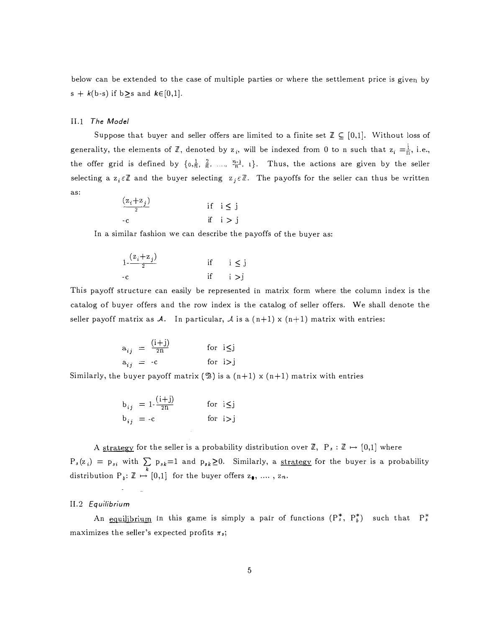below can be extended to the case of multiple parties or where the settlement price is given by s +  $k(b-s)$  if  $b \geq s$  and  $k \in [0,1]$ .

#### II.1 The Model

Suppose that buyer and seller offers are limited to a finite set  $\mathbb{Z} \subseteq [0,1]$ . Without loss of generality, the elements of  $\mathbb{Z}$ , denoted by  $z_i$ , will be indexed from 0 to n such that  $z_i = \frac{1}{n}$ , i.e., the offer grid is defined by  $\{0, \frac{1}{n}, \frac{2}{n}, \dots, \frac{n-1}{n}, 1\}$ . Thus, the actions are given by the seller selecting a  $z_i \in \mathbb{Z}$  and the buyer selecting  $z_j \in \mathbb{Z}$ . The payoffs for the seller can thus be written as:

$$
\frac{(z_i + z_j)}{2} \qquad \text{if } i \le j
$$
  
-c \qquad \qquad \text{if } i > j

In a similar fashion we can describe the payoffs of the buyer as:

$$
\begin{array}{ccc}\n1. & \frac{(z_i + z_j)}{2} & \text{if} & i \leq j \\
-c & \text{if} & i > j\n\end{array}
$$

This payoff structure can easily be represented in matrix form where the column index is the catalog of buyer offers and the row index is the catalog of seller offers. We shall denote the seller payoff matrix as A. In particular, A is a  $(n+1)$  x  $(n+1)$  matrix with entries:

$$
a_{ij} = \frac{(i+j)}{2n} \qquad \text{for } i \le j
$$
  

$$
a_{ij} = -c \qquad \text{for } i > j
$$

Similarly, the buyer payoff matrix ( $\mathcal{B}$ ) is a  $(n+1) \times (n+1)$  matrix with entries

$$
b_{ij} = 1 - \frac{(i+j)}{2n}
$$
 for  $i \leq j$   

$$
b_{ij} = -c
$$
 for  $i > j$ 

A strategy for the seller is a probability distribution over  $\mathbb{Z}$ ,  $P_s : \mathbb{Z} \mapsto [0,1]$  where  $P_s(z_i) = p_{si}$  with  $\sum_k p_{sk} = 1$  and  $p_{sk} \ge 0$ . Similarly, a <u>strategy</u> for the buyer is a probability distribution  $P_b: \mathbb{Z} \stackrel{\sim}{\mapsto} [0,1]$  for the buyer offers  $z_0, \ldots, z_n$ .

# Il.2 Equilibrium

An equilibrium in this game is simply a pair of functions  $(P_s^*, P_t^*)$  such that  $P_s^*$ maximizes the seller's expected profits  $\pi_s$ ;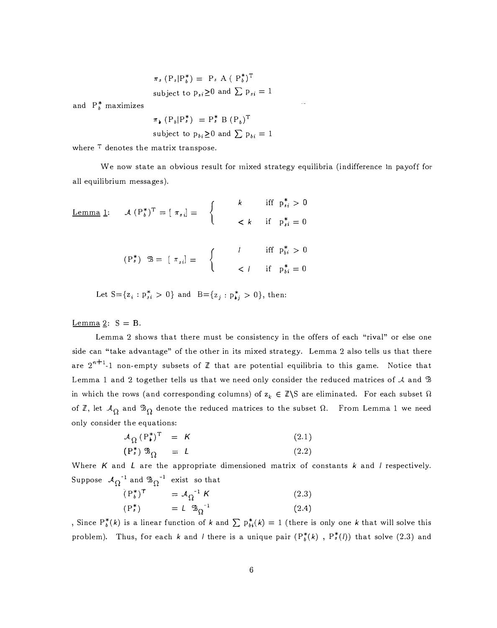$$
\pi_s \left( P_s | P_b^* \right) = P_s A \left( P_b^* \right)^T
$$
\nsubject to  $p_{si} \ge 0$  and  $\sum p_{si} = 1$ 

and  $P_b^*$  maximizes

$$
\pi_{\flat} (P_b | P_s^*) = P_s^* B (P_b)^T
$$
  
subject to  $p_{bi} \ge 0$  and  $\sum p_{bi} = 1$ 

where  $T$  denotes the matrix transpose.

We now state an obvious result for mixed strategy equilibria (indifference in payoff for all equilibrium messages).

Lemma 1:

\n
$$
\mathcal{A} (P_b^*)^T = [\pi_{s_i}] = \begin{cases}\n k & \text{if } p_{s_i}^* > 0 \\
 & \text{if } p_{s_i}^* = 0 \\
 & \text{if } p_{s_i}^* = 0\n\end{cases}
$$
\n
$$
(P_s^*)^T = [\pi_{s_i}] = \begin{cases}\n l & \text{if } p_{s_i}^* > 0 \\
 & \text{if } p_{s_i}^* = 0 \\
 & \text{if } p_{s_i}^* = 0\n\end{cases}
$$

Let  $S = \{z_i : p_{si}^* > 0\}$  and  $B = \{z_j : p_{ij}^* > 0\}$ , then:

Lemma 2:  $S = B$ .

Lemma 2 shows that there must be consistency in the offers of each "rival" or else one side can "take advantage" of the other in its mixed strategy. Lemma 2 also tells us that there are  $2^{n+1}$ -1 non-empty subsets of  $\mathbb Z$  that are potential equilibria to this game. Notice that Lemma 1 and 2 together tells us that we need only consider the reduced matrices of  $\mathcal A$  and  $\mathcal B$ in which the rows (and corresponding columns) of  $z_k \in \mathbb{Z}\backslash S$  are eliminated. For each subset  $\Omega$ of  $\mathbb{Z}$ , let  $\mathcal{A}_{\Omega}$  and  $\mathbb{B}_{\Omega}$  denote the reduced matrices to the subset  $\Omega$ . From Lemma 1 we need only consider the equations:

$$
\mathcal{A}_{\Omega} (P_{\bullet}^{*})^{\mathrm{T}} = \mathcal{K}
$$
\n
$$
(P_{\bullet}^{*}) \mathcal{B}_{\Omega} = L
$$
\n
$$
(2.1)
$$
\n
$$
(2.2)
$$

Where  $K$  and  $L$  are the appropriate dimensioned matrix of constants  $k$  and  $l$  respectively. Suppose  $\mathcal{A}_{\Omega}^{-1}$  and  $\mathfrak{B}_{\Omega}^{-1}$  exist so that

$$
\tilde{P}_b^*\tilde{P} = \mathcal{A}_{\Omega}^{-1} K \qquad (2.3)
$$
  

$$
(P_s^*) = L \mathfrak{B}_{\Omega}^{-1} \qquad (2.4)
$$

, Since  $P_b^*(k)$  is a linear function of k and  $\sum P_{bi}^*(k) = 1$  (there is only one k that will solve this problem). Thus, for each k and l there is a unique pair  $(P_b^*(k)$ ,  $P_s^*(l))$  that solve (2.3) and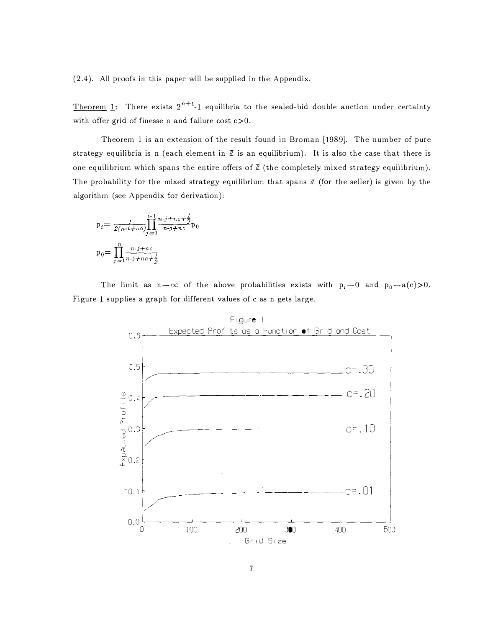(2.4). All proofs in this paper will be supplied in the Appendix.

<u>Theorem</u> 1: There exists  $2^{n+1}$ -1 equilibria to the sealed-bid double auction under certainty with offer grid of finesse n and failure cost  $c > 0$ .

Theorem 1 is an extension of the result found in Broman [1989]. The number of pure strategy equilibria is n (each element in  $Z$  is an equilibrium). It is also the case that there is one equilibrium which spans the entire offers of  $\mathbb Z$  (the completely mixed strategy equilibrium). The probability for the mixed strategy equilibrium that spans  $\mathbb Z$  (for the seller) is given by the algorithm (see Appendix for derivation):

$$
p_{i} = \frac{1}{2(n-i+nc)} \prod_{j=1}^{i-1} \frac{n \cdot j + nc + \frac{1}{2}}{n \cdot j + nc} p_{0}
$$

$$
p_{0} = \prod_{j=1}^{n} \frac{n \cdot j + nc}{n \cdot j + nc + \frac{1}{2}}
$$

The limit as  $n-\infty$  of the above probabilities exists with  $p_i\rightarrow 0$  and  $p_0\rightarrow a(c)>0$ . Figure 1 supplies a graph for different values of c as n gets large.

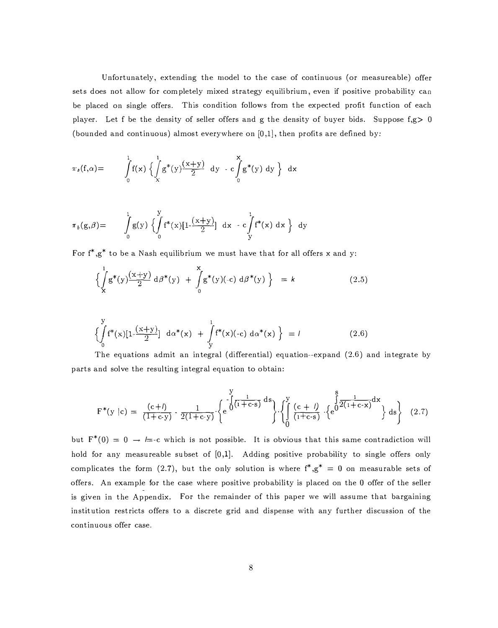Unfortunately, extending the model to the case of continuous (or measureable) offer sets does not allow for completely mixed strategy equilibrium, even if positive probability can be placed on single offers. This condition follows from the expected profit function of each player. Let f be the density of seller offers and g the density of buyer bids. Suppose  $f,g > 0$ (bounded and continuous) almost everywhere on  $[0,1]$ , then profits are defined by:

$$
\pi_s(f,\alpha) = \int_0^1 f(x) \left\{ \int_X^1 g^*(y) \frac{(x+y)}{2} dy - c \int_0^x g^*(y) dy \right\} dx
$$

$$
\pi_b(g,\beta) = \int_0^1 g(y) \left\{ \int_0^y f^*(x) [1 - \frac{(x+y)}{2}] dx - c \int_y^1 f^*(x) dx \right\} dy
$$

For  $f^*$ , $g^*$  to be a Nash equilibrium we must have that for all offers x and y:

$$
\left\{\int_{\mathbf{x}}^{1} \mathbf{g}^{*}(y) \frac{(x+y)}{2} d\beta^{*}(y) + \int_{0}^{x} \mathbf{g}^{*}(y) (-c) d\beta^{*}(y) \right\} = k \tag{2.5}
$$

$$
\left\{\int_{0}^{y} f^{*}(x)[1 - \frac{(x+y)}{2}] d\alpha^{*}(x) + \int_{y}^{1} f^{*}(x)(-c) d\alpha^{*}(x)\right\} = 1
$$
\nThe equations admit an integral (differential) equation-expand (2.6).

The equations admit an integral (differential) equation--expand (2.6) and integrate by parts and solve the resulting integral equation to obtain:

$$
F^*(y \mid c) = \frac{(c+l)}{(1+c\cdot y)} \cdot \frac{1}{2(1+c\cdot y)} \cdot \left\{ e^{-\int_0^y \frac{1}{(1+c\cdot s)} ds} \right\} \cdot \left\{ \int_0^y \frac{(c+l)}{(1+c\cdot s)} \cdot \left\{ e^{\int_0^s \frac{1}{2(1+c\cdot x)} dx} \right\} ds \right\} (2.7)
$$

but  $F^*(0) = 0 \rightarrow \equiv c$  which is not possible. It is obvious that this same contradiction will hold for any measureable subset of [0,1]. Adding positive probability to single offers only complicates the form (2.7), but the only solution is where  $f^*$ , $g^* = 0$  on measurable sets of offers. An example for the case where positive probability is placed on the 0 offer of the seller is given in the Appendix. For the remainder of this paper we will assume that bargaining institution restricts offers to a discrete grid and dispense with any further discussion of the continuous offer case.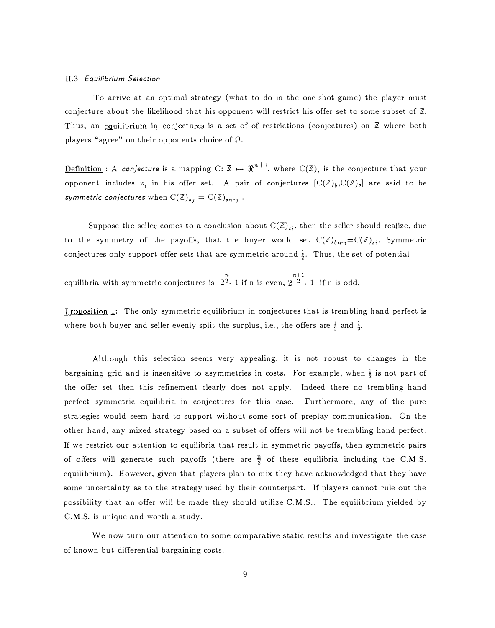#### ll.3 Equilibrium Selection

To arrive at an optimal strategy (what to do in the one-shot game) the player must conjecture about the likelihood that his opponent will restrict his offer set to some subset of  $\mathbb{Z}$ . Thus, an equilibrium in conjectures is a set of of restrictions (conjectures) on  $\mathbb Z$  where both players "agree" on their opponents choice of  $\Omega$ .

Definition : A conjecture is a mapping C:  $\mathbb{Z} \mapsto \Re^{n+1}$ , where  $C(\mathbb{Z})_i$  is the conjecture that your opponent includes  $z_i$  in his offer set. A pair of conjectures  $[C(\mathbb{Z})_b, C(\mathbb{Z})_s]$  are said to be symmetric conjectures when  $C(\mathbb{Z})_{bj} = C(\mathbb{Z})_{sn-j}$ .

Suppose the seller comes to a conclusion about  $C(\mathbb{Z})_{s,i}$ , then the seller should realize, due to the symmetry of the payoffs, that the buyer would set  $C(\mathbb{Z})_{bn-i} = C(\mathbb{Z})_{si}$ . Symmetric conjectures only support offer sets that are symmetric around  $\frac{1}{6}$ . Thus, the set of potential

equilibria with symmetric conjectures is  $2^{\frac{n}{2}}$ -1 if n is even,  $2^{\frac{n+1}{2}}$ -1 if n is odd.

Proposition 1: The only symmetric equilibrium in conjectures that is trembling hand perfect is where both buyer and seller evenly split the surplus, i.e., the offers are  $\frac{1}{2}$  and  $\frac{1}{2}$ .

Although this selection seems very appealing, it is not robust to changes in the bargaining grid and is insensitive to asymmetries in costs. For example, when  $\frac{1}{2}$  is not part of the offer set then this refinement clearly does not apply. Indeed there no trembling hand perfect symmetric equilibria in conjectures for this case. Furthermore, any of the pure strategies would seem hard to support without some sort of preplay communication. On the other hand, any mixed strategy based on a subset of offers will not be trembling hand perfect. If we restrict our attention to equilibria that result in symmetric payoffs, then symmetric pairs of offers will generate such payoffs (there are  $\frac{R}{2}$  of these equilibria including the C.M.S. equilibrium). However, given that players plan to mix they have acknowledged that they have some uncertainty as to the strategy used by their counterpart. If players cannot rule out the possibility that an offer will be made they should utilize C.M.S.. The equilibrium yielded by C.M.S. is unique and worth a study.

We now turn our attention to some comparative static results and investigate the case of known but differential bargaining costs.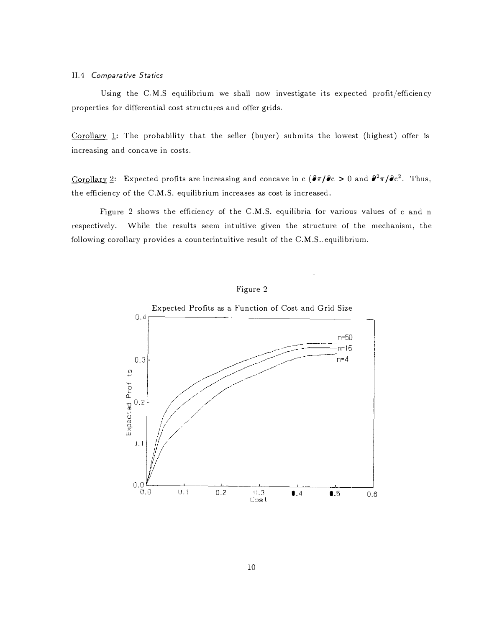## II.4 Comparative Statics

Using the C.M.S equilibrium we shall now investigate its expected profit/efficiency properties for differential cost structures and offer grids.

Corollary 1: The probability that the seller (buyer) submits the lowest (highest) offer is increasing and concave in costs.

Corollary 2: Expected profits are increasing and concave in c  $(\partial \pi / \partial c > 0$  and  $\partial^2 \pi / \partial c^2$ . Thus, the efficiency of the C.M.S. equilibrium increases as cost is increased.

Figure 2 shows the efficiency of the C.M.S. equilibria for various values of c and n respectively. While the results seem intuitive given the structure of the mechanism, the following corollary provides a counterintuitive result of the C.M.S.,equilibrium.



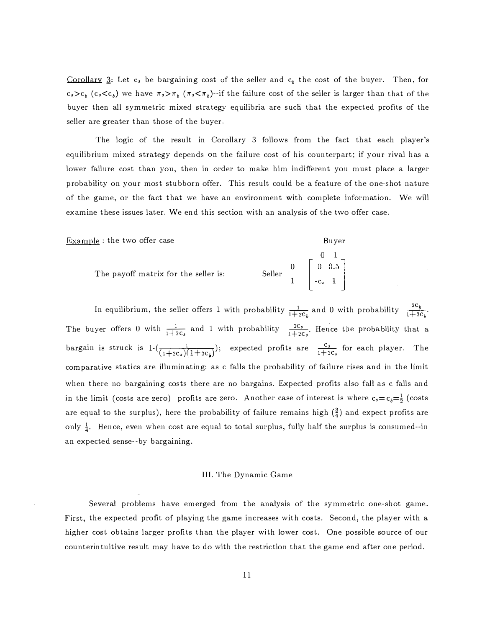Corollary 3: Let c, be bargaining cost of the seller and  $c<sub>b</sub>$  the cost of the buyer. Then, for  $c_s>c_b$  ( $c_s< c_b$ ) we have  $\pi_s>\pi_b$  ( $\pi_s<\pi_b$ )--if the failure cost of the seller is larger than that of the buyer then all symmetric mixed strategy equilibria are such that the expected profits of the seller are greater than those of the buyer.

The logic of the result in Corollary 3 follows from the fact that each player's equilibrium mixed strategy depends on the failure cost of his counterpart; if your rival has a lower failure cost than you, then in order to make him indifferent you must place a larger probability on your most stubborn offer. This result could be a feature of the one-shot nature of the game, or the fact that we have an environment with complete information. We will examine these issues later. We end this section with an analysis of the two offer case.

Buyer

Example : the two offer case

| The payoff matrix for the seller is: |                                                                            |  |
|--------------------------------------|----------------------------------------------------------------------------|--|
|                                      | Seller $\begin{bmatrix} 0 & 0 & 1 \\ 0 & 0.5 \\ 1 & 0 & 0.5 \end{bmatrix}$ |  |
|                                      |                                                                            |  |

In equilibrium, the seller offers 1 with probability  $\frac{1}{1+2c_b}$  and 0 with probability  $\frac{2c_b}{1+2c_b}$ . The buyer offers 0 with  $\frac{1}{1+2c_s}$  and 1 with probability  $\frac{2c_s}{1+2c_s}$ . Hence the probability that a bargain is struck is  $1-\left(\frac{1}{(1+2c_s)(1+2c_s)}\right)$ ; expected profits are  $\frac{c_s}{1+2c_s}$  for each player. The ( comparative statics are illuminating: as c falls the probability of failure rises and in the limit when there no bargaining costs there are no bargains. Expected profits also fall as c falls and in the limit (costs are zero) profits are zero. Another case of interest is where  $c_s=c_b=\frac{1}{2}$  (costs are equal to the surplus), here the probability of failure remains high  $(\frac{3}{4})$  and expect profits are only  $\frac{1}{4}$ . Hence, even when cost are equal to total surplus, fully half the surplus is consumed--in an expected sense--by bargaining.

#### III. The Dynamic Game

Several problems have emerged from the analysis of the symmetric one-shot game. First, the expected profit of playing the game increases with costs. Second, the player with a higher cost obtains larger profits than the player with lower cost. One possible source of our counterintuitive result may have to do with the restriction that the game end after one period.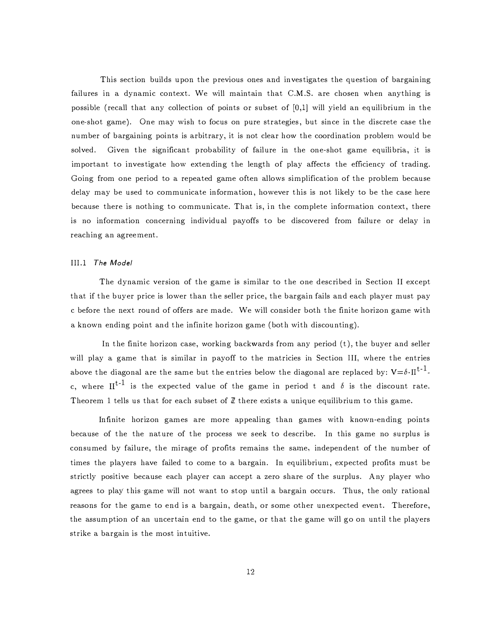This section builds upon the previous ones and investigates the question of bargaining failures in a dynamic context. We will maintain that C.M.S. are chosen when anything is possible (recall that any collection of points or subset of [0,1] will yield an equilibrium in the one-shot game). One may wish to focus on pure strategies, but since in the discrete case the number of bargaining points is arbitrary, it is not clear how the coordination problem would be<br>solved. Given the significant probability of failure in the one-shot game equilibria, it is Given the significant probability of failure in the one-shot game equilibria, it is important to investigate how extending the length of play affects the efficiency of trading. Going from one period to a repeated game often allows simplification of the problem because delay may be used to communicate information, however this is not likely to be the case here because there is nothing to communicate. That is, in the complete information context, there is no information concerning individual payoffs to be discovered from failure or delay in reaching an agreement.

# Ill.l The Model

The dynamic version of the game is similar to the one described in Section II except that if the buyer price is lower than the seller price, the bargain fails and each player must pay c before the next round of offers are made. We will consider both the finite horizon game with a known ending point and the infinite horizon game (both with discounting).

In the finite horizon case, working backwards from any period  $(t)$ , the buyer and seller will play a game that is similar in payoff to the matricies in Section III, where the entries above the diagonal are the same but the entries below the diagonal are replaced by:  $V = \delta \cdot \Pi^{t-1}$ . c, where  $II^{t-1}$  is the expected value of the game in period t and  $\delta$  is the discount rate. Theorem 1 tells us that for each subset of  $\mathbb Z$  there exists a unique equilibrium to this game.

Infinite horizon games are more appealing than games with known-ending points because of the the nature of the process we seek to describe. In this game no surplus is consumed by failure, the mirage of profits remains the same, independent of the number of times the players have failed to come to a bargain. In equilibrium, expected profits must be strictly positive because each player can accept a zero share of the surplus. Any player who agrees to play this-game will not want to stop until a bargain occurs. Thus, the only rational reasons for the game to end is a bargain, death, or some other unexpected event. Therefore, the assumption of an uncertain end to the game, or that the game will go on until the players strike a bargain is the most intuitive.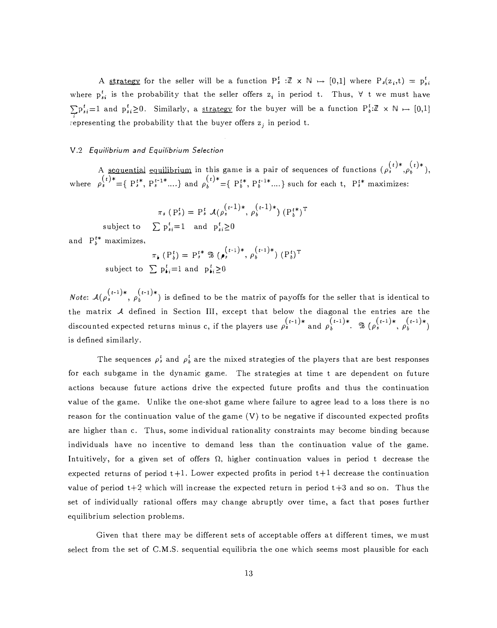A <u>strategy</u> for the seller will be a function  $P_s^t : \mathbb{Z} \times \mathbb{N} \rightarrow [0,1]$  where  $P_s(z_i,t) = p_s^t$ where  $p_{s,i}^{t}$  is the probability that the seller offers  $z_{i}$  in period t. Thus,  $\forall$  t we must have  $\sum p_{si}^t = 1$  and  $p_{si}^t \ge 0$ . Similarly, a <u>strategy</u> for the buyer will be a function  $P_{b}^t: \mathbb{Z} \times \mathbb{N} \mapsto [0,1]$ representing the probability that the buyer offers  $z_j$  in period t.

# V.2 Equilibrium and Equilibrium Selection

A <u>sequential equilibrium</u> in this game is a pair of sequences of functions  $(\rho_s^{(t)*}, \rho_b^{(t)*})$ ,<br>where  $\rho_s^{(t)*} = \{P_s^{t*}, P_s^{t-1*} \dots\}$  and  $\rho_b^{(t)*} = \{P_b^{t*}, P_b^{t-1*} \dots\}$  such for each t,  $P_s^{t*}$  maximizes:

$$
\pi_s \left( P_s^t \right) = P_s^t \mathcal{A}(\rho_s^{(t-1)*}, \rho_b^{(t-1)*}) \left( P_b^{t*} \right)^T
$$
  

$$
\sum_{k=1}^t P_s^t = 1 \text{ and } P_s^t \geq 0
$$

subject to  $\sum p_{si}^{t} = 1$  and  $p_{si}^{t} \ge 0$ 

and  $P_b^{t*}$  maximizes,

maximizes,  
\n
$$
\pi_{\mathbf{i}} (P_b^t) = P_s^{t*} \mathbb{B} (\rho_s^{(t-1)*}, \rho_b^{(t-1)*}) (P_b^t)^T
$$
\nsubject to 
$$
\sum p_{\mathbf{i}i} = 1 \text{ and } p_{\mathbf{i}i} \ge 0
$$

*Note*:  $\mathcal{A}(\rho_s^{(t-1)*}, \rho_b^{(t-1)*})$  is defined to be the matrix of payoffs for the seller that is identical to the matrix  $A$  defined in Section III, except that below the diagonal the entries are the discounted expected returns minus c, if the players use  $\rho_s^{(t-1)*}$  and  $\rho_b^{(t-1)*}$ .  $\mathbb{B}(\rho_s^{(t-1)*}, \rho_b^{(t-1)*})$ is defined similarly.

The sequences  $\rho_s^t$  and  $\rho_b^t$  are the mixed strategies of the players that are best responses for each subgame in the dynamic game. The strategies at time t are dependent on future actions because future actions drive the expected future profits and thus the continuation value of the game. Unlike the one-shot game where failure to agree lead to a loss there is no reason for the continuation value of the game (V) to be negative if discounted expected profits are higher than c. Thus, some individual rationality constraints may become binding because individuals have no incentive to demand less than the continuation value of the game. Intuitively, for a given set of offers  $\Omega$ , higher continuation values in period t decrease the expected returns of period  $t+1$ . Lower expected profits in period  $t+1$  decrease the continuation value of period  $t+2$  which will increase the expected return in period  $t+3$  and so on. Thus the set of individually rational offers may change abruptly over time, a fact that poses further equilibrium selection problems.

Given that there may be different sets of acceptable offers at different times, we must select from the set of C.M.S. sequential equilibria the one which seems most plausible for each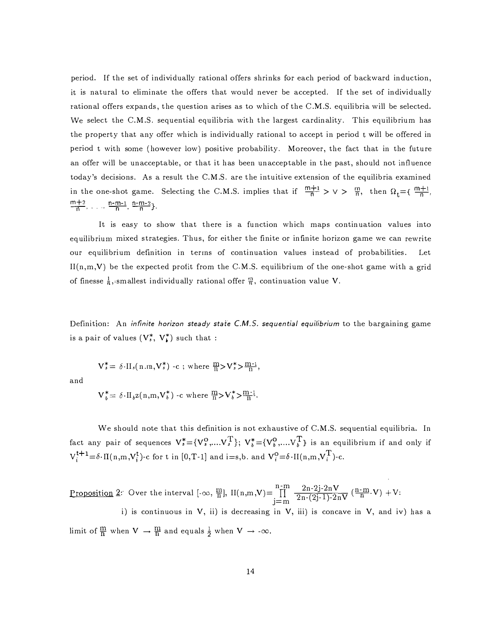period. If the set of individually rational offers shrinks for each period of backward induction, it is natural to eliminate the offers that would never be accepted. If the set of individually rational offers expands, the question arises as to which of the C.NI.S. equilibria will be selected. vVe select the C.M.S. sequential equilibria with the largest cardinality. This equilibrium has the property that any offer which is individually rational to accept in period t will be offered in period t with some (however low) positive probability. Moreover, the fact that in the future an offer will be unacceptable, or that it has been unacceptable in the past, should not influence today's decisions. As a result the C.M.S. are the intuitive extension of the equilibria examined in the one-shot game. Selecting the C.M.S. implies that if  $\frac{m+1}{n} > v > \frac{m}{n}$ , then  $\Omega_t = \{\frac{m+1}{n}, \dots, \frac{m}{n}\}$ .  $\frac{m+2}{n}$ , ...,  $\frac{n-m-1}{n}$ ,  $\frac{n-m-2}{n}$ .

It is easy to show that there is a function which maps continuation values into equilibrium mixed strategies. Thus, for either the finite or infinite horizon game we can rewrite<br>our equilibrium definition in terms of continuation values instead of probabilities. Let our equilibrium definition in terms of continuation values instead of probabilities.  $II(n,m,V)$  be the expected profit from the C.M.S. equilibrium of the one-shot game with a grid of finesse  $\frac{1}{n}$ , smallest individually rational offer  $\frac{m}{n}$ , continuation value V.

Definition: An *infinite horizon steady state C.M.S. sequential equilibrium* to the bargaining game is a pair of values  $(V^*, V^*)$  such that :

$$
V_s^* = \delta \cdot II_s(n.m, V_s^*) - c \text{ ; where } \frac{m}{n} > V_s^* > \frac{m-1}{n},
$$

and

$$
V_b^* = \delta \cdot II_b z(n,m,V_b^*) - c \text{ where } \frac{m}{n} > V_b^* > \frac{m-1}{n}.
$$

We should note that this definition is not exhaustive of C.M.S. sequential equilibria. In fact any pair of sequences  $V_s^* = {V_s^0, \ldots V_s^T}$ ;  $V_b^* = {V_b^0, \ldots V_b^T}$  is an equilibrium if and only if  $V_i^{t+1} = \delta \cdot \Pi(n,m,V_i^t)$ -c for t in [0,T-1] and i=s,b. and  $V_i^0 = \delta \cdot \Pi(n,m,V_i^T)$ -c.

 $\prod_{i=1}^{n-m}$ Proposition 2. Over the interval  $[-\infty, \frac{m}{n}]$ ,  $H(n,m,V)=\prod_{i=m}^{n-m}$  $j=m$ <br>in  $V$  $\frac{2n-2j-2nV}{2n-(2j-1)-2nV}$   $(\frac{n-m}{n}-V) +V$ :

i) is continuous in V, ii) is decreasing in V, iii) is concave in V, and iv) has a limit of  $\frac{m}{n}$  when  $V \to \frac{m}{n}$  and equals  $\frac{1}{2}$  when  $V \to -\infty$ .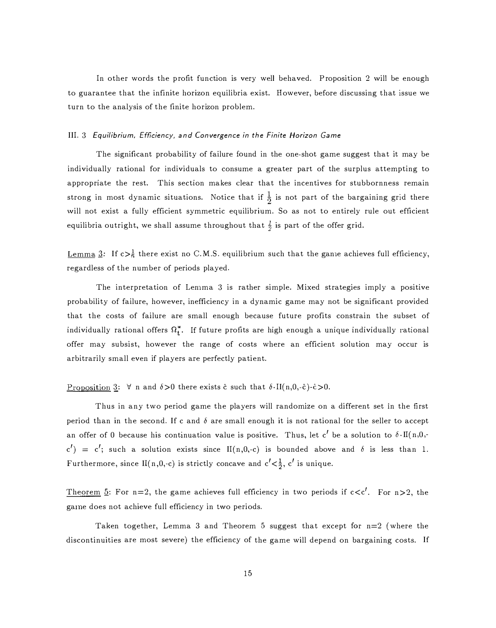In other words the profit function is very well behaved. Proposition 2 will be enough to guarantee that the infinite horizon equilibria exist. However, before discussing that issue we turn to the analysis of the finite horizon problem.

# III. 3 Equilibrium, Efficiency, and Convergence in the Finite Horizon Game

The significant probability of failure found in the one-shot game suggest that it may be individually rational for individuals to consume a greater part of the surplus attempting to appropriate the rest. This section makes clear that the incentives for stubbornness remain strong in most dynamic situations. Notice that if  $\frac{1}{2}$  is not part of the bargaining grid there will not exist a fully efficient symmetric equilibrium. So as not to entirely rule out efficient equilibria outright, we shall assume throughout that  $\frac{1}{2}$  is part of the offer grid.

Lemma 3: If  $c > \frac{1}{h}$  there exist no C.M.S. equilibrium such that the ganie achieves full efficiency, regardless of the number of periods played.

The interpretation of Lemma 3 is rather simple. Mixed strategies imply a positive probability of failure, however, inefficiency in a dynamic game may not be significant provided that the costs of failure are small enough because future profits constrain the subset of individually rational offers  $\Omega_t^*$ . If future profits are high enough a unique individually rational offer may subsist, however the range of costs where an efficient solution may occur is arbitrarily small even if players are perfectly patient.

#### Proposition 3:  $\forall$  n and  $\delta > 0$  there exists  $\hat{c}$  such that  $\delta \cdot II(n,0,-\hat{c})$ - $\hat{c} > 0$ .

Thus in any two period game the players will randomize on a different set in the first period than in the second. If c and  $\delta$  are small enough it is not rational for the seller to accept an offer of 0 because his continuation value is positive. Thus, let c' be a solution to  $\delta \cdot \text{II(n,0,-1)}$  $c'$ ) =  $c'$ ; such a solution exists since II(n,0,-c) is bounded above and  $\delta$  is less than 1. Furthermore, since II(n,0,-c) is strictly concave and  $c' < \frac{1}{2}$ ,  $c'$  is unique.

Theorem 5: For n=2, the game achieves full efficiency in two periods if  $c < c'$ . For n>2, the game does not achieve full efficiency in two periods.

Taken together, Lemma 3 and Theorem 5 suggest that except for n=2 (where the discontinuities are most severe) the efficiency of the game will depend on bargaining costs. If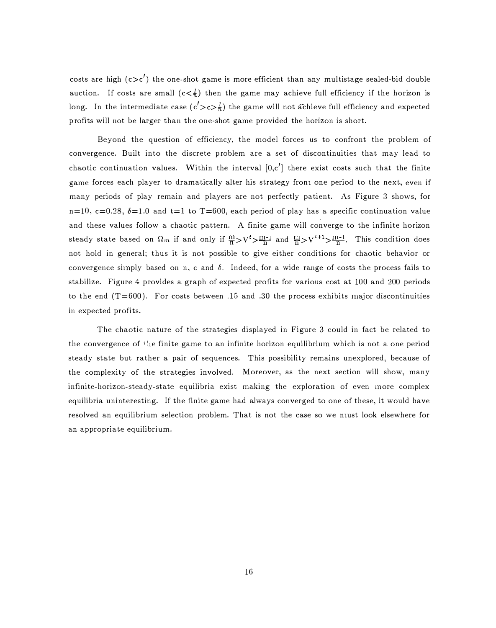costs are high  $(c>c')$  the one-shot game is more efficient than any multistage sealed-bid double auction. If costs are small  $(c < \frac{1}{n})$  then the game may achieve full efficiency if the horizon is long. In the intermediate case  $(c' > c > \frac{l}{n})$  the game will not achieve full efficiency and expected profits \vill not be larger than the one-shot game provided the horizon is short.

Beyond the question of efficiency, the model forces us to confront the problem of convergence. Built into the discrete problem are a set of discontinuities that may lead to chaotic continuation values. Within the interval  $[0,c']$  there exist costs such that the finite game forces each player to dramatically alter his strategy from one period to the next, even if many periods of play remain and players are not perfectly patient. As Figure 3 shows, for  $n=10$ ,  $c=0.28$ ,  $\delta=1.0$  and  $t=1$  to T=600, each period of play has a specific continuation value and these values follow a chaotic pattern. A finite game will converge to the infinite horizon steady state based on  $\Omega_m$  if and only if  $\frac{m}{n} > V' > \frac{m-1}{n}$  and  $\frac{m}{n} > V'$ <sup>++1</sup> $> \frac{m-1}{n}$ . This condition does not hold in general; thus it is not possible to give either conditions for chaotic behavior or convergence simply based on n, c and  $\delta$ . Indeed, for a wide range of costs the process fails to stabilize. Figure 4 provides a graph of expected profits for various cost at 100 and 200 periods to the end  $(T=600)$ . For costs between .15 and .30 the process exhibits major discontinuities in expected profits.

The chaotic nature of the strategies displayed in Figure 3 could in fact be related to the convergence of the finite game to an infinite horizon equilibrium which is not a one period steady state but rather a pair of sequences. This possibility remains unexplored, because of the complexity of the strategies involved. Moreover, as the next section will show, many infinite-horizon-steady-state equilibria exist making the exploration of even more complex equilibria uninteresting. If the finite game had always converged to one of these, it would have resolved an equilibrium selection problem. That is not the case so we nust look elsewhere for an appropriate equilibrium.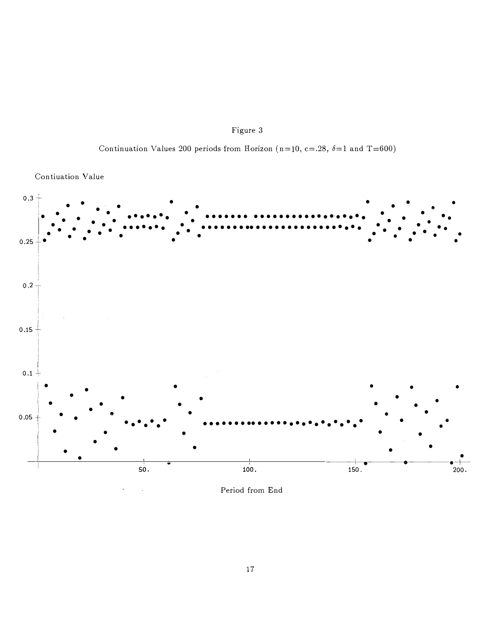



Continuation Values 200 periods from Horizon (n=10, c=.28,  $\delta$ =1 and T=600)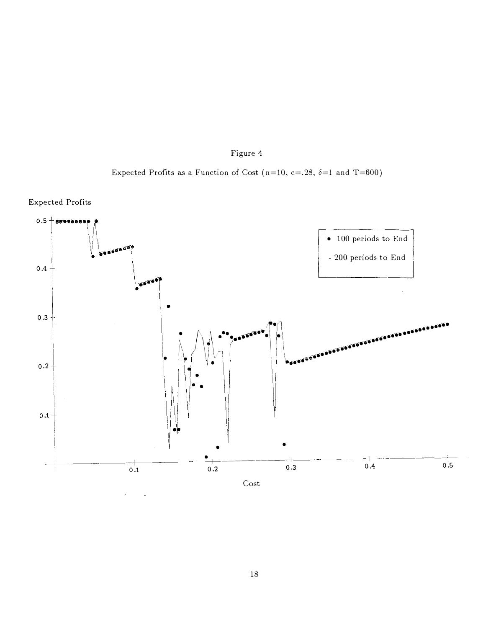





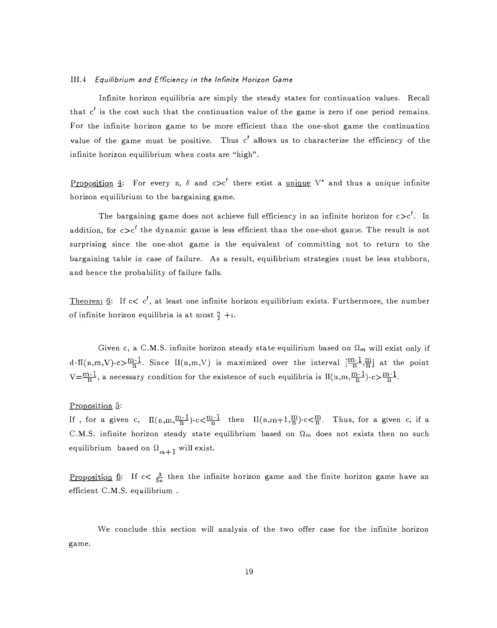#### III.4 Equilibrium and Efficiency in the Infinite Horizon Game

Infinite horizon equilibria are simply the steady states for continuation values. Recall that  $c'$  is the cost such that the continuation value of the game is zero if one period remains. For the infinite horizon game to be more efficient than the one-shot game the continuation value of the game must be positive. Thus  $c'$  allows us to characterize the efficiency of the infinite horizon equilibrium when costs are "high".

Proposition 4: For every n,  $\delta$  and  $c>c'$  there exist a unique V<sup>\*</sup> and thus a unique infinite horizon equilibrium to the bargaining game.

The bargaining game does not achieve full efficiency in an infinite horizon for  $c > c'$ . In addition, for  $c>c'$  the dynamic game is less efficient than the one-shot game. The result is not surprising since the one-shot game is the equivalent of committing not to return to the bargaining table in case of failure. As a result, equilibrium strategies inust be less stubborn, and hence the probability of failure falls.

Theoren<sub>1</sub> 6: If  $c < c'$ , at least one infinite horizon equilibrium exists. Furthermore, the number of infinite horizon equilibria is at most  $\frac{n}{2} + i$ .

Given c, a C.M.S. infinite horizon steady state equilirium based on  $\Omega_m$  will exist only if  $d \cdot \Pi(n,m,V) \cdot c \ge \frac{m-1}{n}$ . Since  $\Pi(n,m,V)$  is maximized over the interval  $[\frac{m-1}{n},\frac{m}{n}]$  at the point  $V=\frac{m-1}{n}$ , a necessary condition for the existence of such equilibria is  $\Pi(n,m,\frac{m-1}{n})$ -c> $\frac{m-1}{n}$ .

# Proposition 5:

If , for a given c,  $\Pi(n,m,\frac{m-1}{n})-c<\frac{m-1}{n}$  then  $\Pi(n,n+1,\frac{m}{n})-c<\frac{m}{n}$ . Thus, for a given c, if a C.M.S. infinite horizon steady state equilibrium based on  $\Omega_m$  does not exists then no such equilibrium based on  $\Omega_{m+1}$  will exist.

Proposition 6: If  $c < \frac{3}{5n}$  then the infinite horizon game and the finite horizon game have an efficient C.M.S. equilibrium .

We conclude this section will analysis of the two offer case for the infinite horizon game.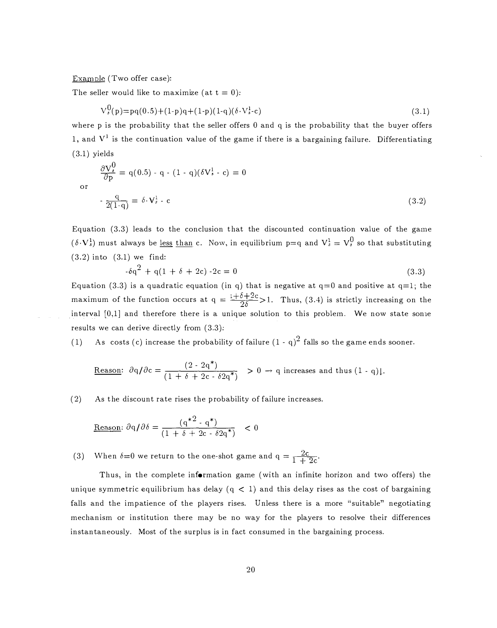Example (Two offer case):

or

The seller would like to maximize (at  $t = 0$ ):

$$
V_s^0(p) = pq(0.5) + (1-p)q + (1-p)(1-q)(\delta \cdot V_{s-c}^1)
$$
\n(3.1)

where p is the probability that the seller offers 0 and q is the probability that the buyer offers 1, and  $V^1$  is the continuation value of the game if there is a bargaining failure. Differentiating (3.1) yields

$$
\frac{\partial V_s^0}{\partial p} = q(0.5) - q - (1 - q)(\delta V_s^1 - c) = 0
$$

$$
-\frac{q}{2(1-q)} = \delta \cdot V_s^1 - c \tag{3.2}
$$

Equation  $(3.3)$  leads to the conclusion that the discounted continuation value of the game  $(\delta \cdot \mathbf{V}_s^1)$  must always be <u>less than</u> c. Now, in equilibrium p=q and  $\mathbf{V}_s^1 = \mathbf{V}_s^0$  so that substituting (3.2) into (3.1) we find:

$$
-\delta q^2 + q(1 + \delta + 2c) - 2c = 0 \tag{3.3}
$$

Equation (3.3) is a quadratic equation (in q) that is negative at  $q=0$  and positive at  $q=1$ ; the maximum of the function occurs at  $q = \frac{1+\delta+2c}{2\delta} > 1$ . Thus, (3.4) is strictly increasing on the interval  $[0,1]$  and therefore there is a unique solution to this problem. We now state sonic results we can derive directly from  $(3.3)$ :

(1) As costs (c) increase the probability of failure  $(1 - q)^2$  falls so the game ends sooner.

Reason: 
$$
\partial q/\partial c = \frac{(2 \cdot 2q^*)}{(1 + \delta + 2c \cdot \delta 2q^*)}
$$
 > 0  $\rightarrow$  q increases and thus (1 - q)].

(2) As the discount rate rises the probability of failure increases.

$$
\underline{\text{Reason}}: \partial q/\partial \delta = \frac{(q^{*2} \cdot q^{*})}{(1 + \delta + 2c \cdot \delta 2q^{*})} < 0
$$

(3) When  $\delta = 0$  we return to the one-shot game and  $q = \frac{2c}{1 + 2c}$ .

Thus, in the complete information game (with an infinite horizon and two offers) the unique symmetric equilibrium has delay ( $q < 1$ ) and this delay rises as the cost of bargaining falls and the impatience of the players rises. Unless there is a more "suitable" negotiating mechanism or institution there may be no way for the players to resolve their differences instantaneously. Most of the surplus is in fact consumed in the bargaining process.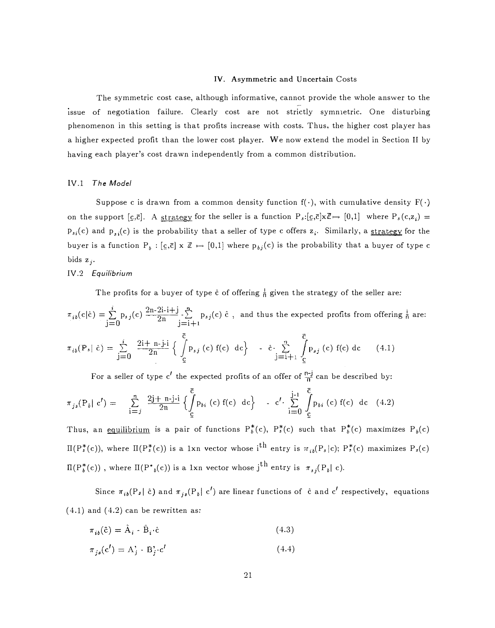#### IV. Asymmetric and Uncertain Costs

The symmetric cost case, although informative, cannot provide the whole answer to the issue of negotiation failure. Clearly cost are not strictly symmetric. One disturbing phenomenon in this setting is that profits increase with costs. Thus, the higher cost player has a higher expected profit than the lower cost player. We now extend the model in Section II by having each player's cost drawn independently from a common distribution.

# IV.1 The Model

Suppose c is drawn from a common density function  $f(\cdot)$ , with cumulative density  $F(\cdot)$ on the support  $[c,\bar{c}]$ . A strategy for the seller is a function  $P_s:[c,\bar{c}]\times\mathbb{Z}\rightarrow [0,1]$  where  $P_s(c,z_i)$  =  $p_{si}(c)$  and  $p_{si}(c)$  is the probability that a seller of type c offers  $z_i$ . Similarly, a strategy for the buyer is a function  $P_b : [c,\bar{c}] \times \mathbb{Z} \mapsto [0,1]$  where  $p_{bj}(c)$  is the probability that a buyer of type c bids  $z_i$ .

# IV.2 Equilibrium

The profits for a buyer of type  $\hat{c}$  of offering  $\frac{1}{n}$  given the strategy of the seller are:

$$
\pi_{ib}(c|\hat{c}) = \sum_{j=0}^{i} p_{sj}(c) \frac{2n-2i-j}{2n} \sum_{j=i+1}^{n} p_{sj}(c) \hat{c}, \text{ and thus the expected profits from offering } \frac{i}{n} \text{ are:}
$$
\n
$$
\pi_{ib}(P_s|\hat{c}) = \sum_{j=0}^{i} \frac{2i+n-j}{2n} \left\{ \int_{c}^{\overline{c}} p_{sj}(c) f(c) dc \right\} - \hat{c} \cdot \sum_{j=i+1}^{n} \int_{c}^{\overline{c}} p_{sj}(c) f(c) dc \qquad (4.1)
$$

For a seller of type c<sup> $\prime$ </sup> the expected profits of an offer of  $\frac{n-j}{n}$  can be described by:

$$
\pi_{js}(P_b | c') = \sum_{i=j}^{n} \frac{2j + n-j-i}{2n} \left\{ \int_{c}^{\overline{c}} p_{bi} (c) f(c) dc \right\} - c' \cdot \sum_{i=0}^{j-1} \int_{c}^{\overline{c}} p_{bi} (c) f(c) dc \quad (4.2)
$$

Thus, an equilibrium is a pair of functions  $P_b^*(c)$ ,  $P_s^*(c)$  such that  $P_b^*(c)$  maximizes  $P_b(c)$  $\Pi(P_s^*(c))$ , where  $\Pi(P_s^*(c))$  is a 1xn vector whose i<sup>th</sup> entry is  $\pi_{ib}(P_s|c)$ ;  $P_s^*(c)$  maximizes  $P_s(c)$  $\Pi({\rm P}^{\textstyle{*}}_{\textstyle{b}}(\textbf{c}))$  , where  $\Pi({\rm P}^{\textstyle{*}}{}_{\textstyle{b}}(\textbf{c}))$  is a  $1\text{xn}$  vector whose  ${\rm j}^{\textstyle{{\rm th}}}$  entry is  $\pi_{\textstyle{sj}}({\rm P}_{\textstyle{b}}||\textbf{c})$ .

Since  $\pi_{ik}(P_s|\hat{c})$  and  $\pi_{js}(P_b|\hat{c}')$  are linear functions of  $\hat{c}$  and  $\hat{c}'$  respectively, equations  $(4.1)$  and  $(4.2)$  can be rewritten as:

$$
\pi_{ib}(\hat{c}) = \hat{A}_i - \hat{B}_i \cdot \hat{c}
$$
\n(4.3)

$$
\pi_{js}(c') = A'_j \cdot B'_j \cdot c'
$$
\n(4.4)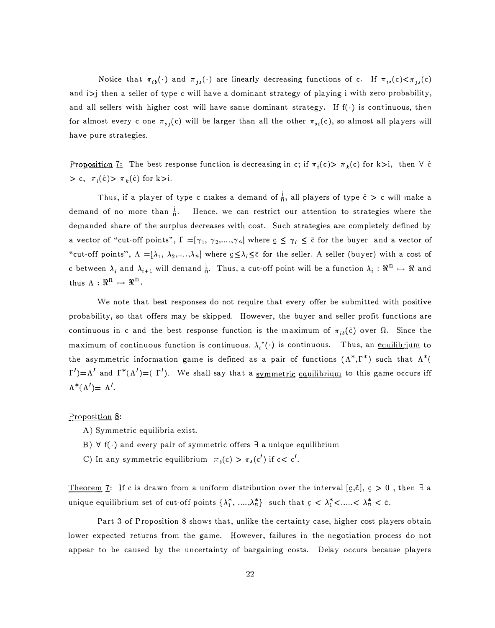Notice that  $\pi_{ib}(\cdot)$  and  $\pi_{js}(\cdot)$  are linearly decreasing functions of c. If  $\pi_{is}(c) < \pi_{js}(c)$ and  $i$  i) then a seller of type c will have a dominant strategy of playing i with zero probability, and all sellers with higher cost will have sanie dominant strategy. If  $f(\cdot)$  is continuous, then for almost every c one  $\pi_{s_i}(c)$  will be larger than all the other  $\pi_{s_i}(c)$ , so almost all players will have pure strategies.

<u>Proposition 7:</u> The best response function is decreasing in c; if  $\pi_i(c) > \pi_k(c)$  for k>i, then  $\forall$  ĉ  $> c, \pi_i(\hat{c}) > \pi_k(\hat{c})$  for k>i.

Thus, if a player of type c niakes a demand of  $\frac{i}{n}$ , all players of type  $\hat{c} > c$  will make a demand of no more than  $\frac{1}{6}$ . Hence, we can restrict our attention to strategies where the demanded share of the surplus decreases with cost. Such strategies are completely defined by a vector of "cut-off points",  $\Gamma = [\gamma_1, \gamma_2, \ldots, \gamma_n]$  where  $\epsilon \leq \gamma_i \leq \bar{\epsilon}$  for the buyer and a vector of "cut-off points",  $\Lambda = [\lambda_1, \lambda_2, ..., \lambda_n]$  where  $\underline{c} \leq \lambda_i \leq \overline{c}$  for the seller. A seller (buyer) with a cost of c between  $\lambda_i$  and  $\lambda_{i+1}$  will den1and  $\frac{i}{\bar{n}}$ . Thus, a cut-off point will be a function  $\lambda_i : \Re^{\bar{n}} \mapsto \Re$  and thus  $\Lambda: \Re^n \mapsto \Re^n$ .

We note that best responses do not require that every offer be submitted with positive probability, so that offers may be skipped. However, the buyer and seller profit functions are continuous in c and the best response function is the maximum of  $\pi_{ib}(\dot{c})$  over  $\Omega$ . Since the maximum of continuous function is continuous,  $\lambda_i^*(\cdot)$  is continuous. Thus, an equilibrium to the asymmetric information game is defined as a pair of functions  $(\Lambda^*, \Gamma^*)$  such that  $\Lambda^*$  $\Gamma'$ )= $\Lambda'$  and  $\Gamma^*(\Lambda') = (\Gamma')$ . We shall say that a <u>symmetric equilibrium</u> to this game occurs iff  $\Lambda^*(\Lambda') = \Lambda'.$ 

#### Proposition 8:

- A) Symmetric equilibria exist.
- B)  $\forall$  f( $\cdot$ ) and every pair of symmetric offers  $\exists$  a unique equilibrium
- C) In any symmetric equilibrium  $\pi_h(c) > \pi_s(c')$  if  $c < c'$ .

Theorem 7: If c is drawn from a uniform distribution over the interval [c,c], c > 0, then  $\exists$  a unique equilibrium set of cut-off points  $\{\lambda_1^*, \dots, \lambda_n^*\}$  such that  $c < \lambda_1^* < \dots < \lambda_n^* < \bar{c}$ .

Part 3 of Proposition 8 shows that, unlike the certainty case, higher cost players obtain lower expected returns from the game. However, failures in the negotiation process do not appear to be caused by the uncertainty of bargaining costs. Delay occurs because players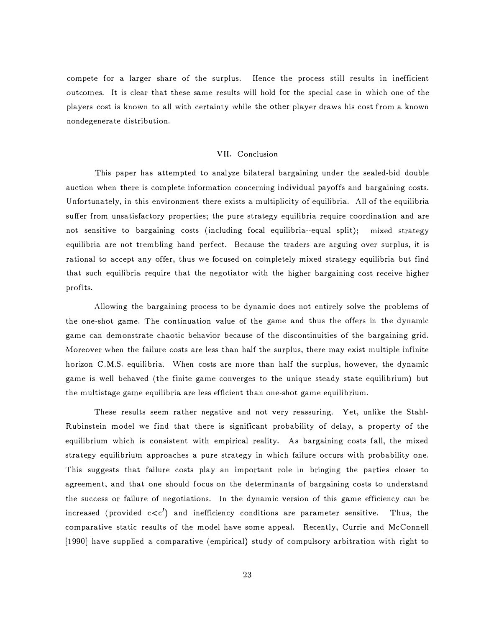compete for a larger share of the surplus. Hence the process still results in inefficient outcomes. It is clear that these same results will hold for the special case in which one of the players cost is known to all with certainty while the other player draws his cost from a known nondegenerate distribution.

#### VII. Conclusion

This paper has attempted to analyze bilateral bargaining under the sealed-bid double auction when there is complete information concerning individual payoffs and bargaining costs. Unfortunately, in this environment there exists a multiplicity of equilibria. All of the equilibria suffer from unsatisfactory properties; the pure strategy equilibria require coordination and are not sensitive to bargaining costs (including focal equilibria--equal split); mixed strategy equilibria are not trembling hand perfect. Because the traders are arguing over surplus, it is rational to accept any offer, thus we focused on completely mixed strategy equilibria but find that such equilibria require that the negotiator with the higher bargaining cost receive higher profits.

Allowing the bargaining process to be dynamic does not entirely solve the problems of the one-shot game. The continuation value of the game and thus the offers in the dynamic game can demonstrate chaotic behavior because of the discontinuities of the bargaining grid. Moreover when the failure costs are less than half the surplus, there may exist multiple infinite horizon C.M.S. equilibria. When costs are nore than half the surplus, however, the dynamic game is well behaved (the finite game converges to the unique steady state equilibrium) but the multistage game equilibria are less efficient than one-shot game equilibrium.

These results seem rather negative and not very reassuring. Yet, unlike the Stahl-Rubinstein model we find that there is significant probability of delay, a property of the equilibrium which is consistent with empirical reality. As bargaining costs fall, the mixed strategy equilibrium approaches a pure strategy in which failure occurs with probability one. This suggests that failure costs play an important role in bringing the parties closer to agreement, and that one should focus on the determinants of bargaining costs to understand the success or failure of negotiations. In the dynamic version of this game efficiency can be increased (provided  $c < c'$ ) and inefficiency conditions are parameter sensitive. Thus, the comparative static results of the model have some appeal. Recently, Currie and McConnell [1990] have supplied a comparative (empirical) study of compulsory arbitration with right to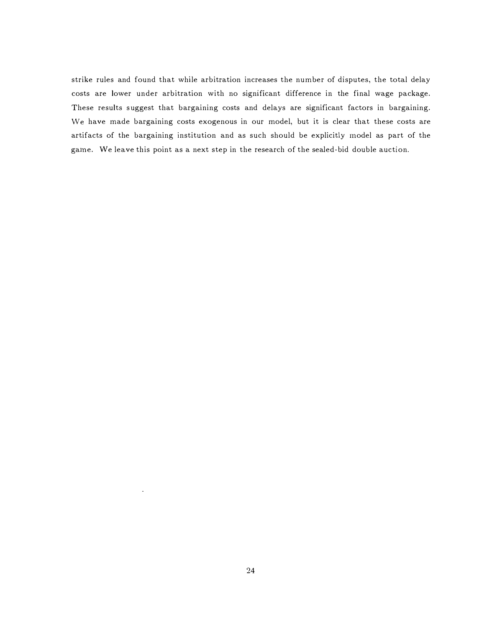strike rules and found that while arbitration increases the number of disputes, the total delay costs are lower under arbitration with no significant difference in the final wage package. These results suggest that bargaining costs and delays are significant factors in bargaining. We have made bargaining costs exogenous in our model, but it is clear that these costs are artifacts of the bargaining institution and as such should be explicitly inodel as part of the game. We leave this point as a next step in the research of the sealed-bid double auction.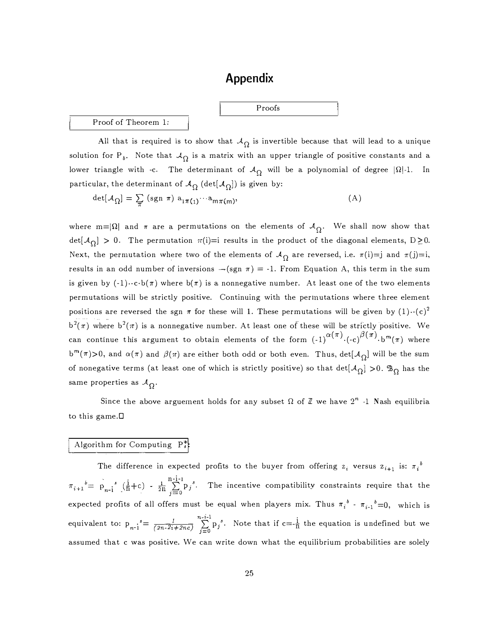# Appendix

Proofs

# Proof of Theorem 1:

All that is required is to show that  $A_{\Omega}$  is invertible because that will lead to a unique solution for P<sub>b</sub>. Note that  $A_{\Omega}$  is a matrix with an upper triangle of positive constants and a lower triangle with -c. The determinant of  $A_{\Omega}$  will be a polynomial of degree  $|\Omega|$ -1. In particular, the determinant of  $\mathcal{A}_{\Omega}^{} \left( \det [\mathcal{A}_{\Omega}^{}] \right)$  is given by:

$$
\det[\mathcal{A}_{\Omega}] = \sum_{\pi} (sgn \pi) a_{1\pi(1)} \cdots a_{m\pi(m)}, \tag{A}
$$

where m= $|\Omega|$  and  $\pi$  are a permutations on the elements of  $\mathcal{A}_{\Omega}$ . We shall now show that det[ $\mathcal{A}_{\Omega}$ ] > 0. The permutation  $\pi(i)=i$  results in the product of the diagonal elements, D $\geq$ 0. Next, the permutation where two of the elements of  $\mathcal{A}_{\Omega}$  are reversed, i.e.  $\pi(i)=j$  and  $\pi(j)=i$ , results in an odd number of inversions  $-(sgn \pi) = -1$ . From Equation A, this term in the sum is given by  $(-1) \cdot c \cdot b(\pi)$  where  $b(\pi)$  is a nonnegative number. At least one of the two elements permutations will be strictly positive. Continuing with the permutations where three element positions are reversed the sgn  $\pi$  for these will 1. These permutations will be given by  $(1) \cdot$ - $(c)^2$  $b^2(\pi)$  where  $b^2(\pi)$  is a nonnegative number. At least one of these will be strictly positive. We can continue this argument to obtain elements of the form  $(-1)^{\alpha(\pi)} \cdot (-c)^{\beta(\pi)} \cdot b^{m}(\pi)$  where b<sup>m</sup>( $\pi$ )>0, and  $\alpha(\pi)$  and  $\beta(\pi)$  are either both odd or both even. Thus, det[ $\mathcal{A}_{\Omega}$ ] will be the sum of nonegative terms (at least one of which is strictly positive) so that  $det[\mathcal{A}_{\Omega}] > 0$ .  $\mathbb{B}_{\Omega}$  has the same properties as  $A_{\Omega}$ . .

Since the above arguement holds for any subset  $\Omega$  of  $\mathbb Z$  we have  $2^n$  -1 Nash equilibria to this game.D

# Algorithm for Computing  $P_s^*$ :

The difference in expected profits to the buyer from offering  $z_i$  versus  $z_{i+1}$  is:  $\pi_i^{\ b}$  $\frac{1}{2n} \sum_{j=0}^{n-i-1} p_j^s$ . The incentive compatibility constraints require that the expected profits of all offers must be equal when players mix. Thus  $\pi_i^b$  -  $\pi_{i-1}^b = 0$ , which is equivalent to:  $p_{n-1}^s = \frac{1}{(2n-2i+2nc)} \sum_{i=0}^{n-i-1} p_i^s$ . Note that if  $c = \frac{i}{n}$  the equation is undefined but we assumed that c was positive. We can write down what the equilibrium probabilities are solely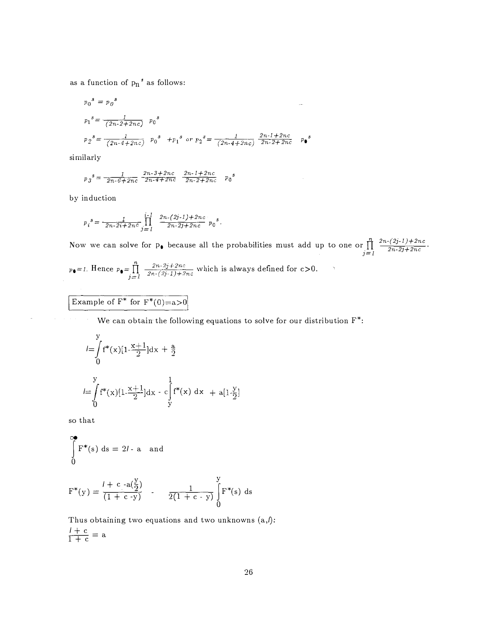as a function of  $p_n$   $\!s\!$  as follows:

$$
p_0^s = p_0^s
$$
  
\n
$$
p_1^s = \frac{1}{(2n-2+2nc)}
$$
  $p_0^s$   
\n
$$
p_2^s = \frac{1}{(2n-4+2nc)}
$$
  $p_0^s$   $+p_1^s$  or  $p_2^s = \frac{1}{(2n-4+2nc)} \frac{2n-1+2nc}{2n-2+2nc}$   $p_0^s$ 

similarly

$$
p_{\jmath}{}^{s} = \frac{1}{2n \cdot 6 + 2nc} \frac{2n \cdot 3 + 2nc}{2n \cdot 4 + 2nc} \frac{2n \cdot 1 + 2nc}{2n \cdot 2 + 2nc} p_{0}{}^{s}
$$

by induction

$$
p_i^s = \frac{1}{2n-2i+2nc} \prod_{j=1}^{i-1} \frac{2n-(2j-1)+2nc}{2n-2j+2nc} p_0^s.
$$

Now we can solve for  $p_{\bullet}$  because all the probabilities must add up to one or  $\prod_{j=1}^{n} \frac{2n-(2j-1)+2nc}{2n-2j+2nc}$  $p_{\bullet}=1$ . Hence  $p_{\bullet}=\prod_{j=1}^{n}\frac{2n-2j+2nc}{2n-(2j-1)+2nc}$  which is always defined for  $c>0$ .  $\mathcal{I}_{\mathcal{A}}$ 

Example of 
$$
F^*
$$
 for  $F^*(0)=a>0$ 

We can obtain the following equations to solve for our distribution  $F^*$ :

$$
I = \int_{0}^{y} f^{*}(x)[1 - \frac{x+1}{2}]dx + \frac{a}{2}
$$
  

$$
I = \int_{0}^{y} f^{*}(x)[1 - \frac{x+1}{2}]dx - c\int_{y}^{1} f^{*}(x) dx + a[1 - \frac{y}{2}]
$$

so that

$$
\int_{0}^{\infty} \mathbf{F}^{*}(\mathbf{s}) \, \mathrm{d}\mathbf{s} = 2l \cdot \mathbf{a} \quad \text{and}
$$

$$
F^*(y) = \frac{l + c \cdot a(\frac{y}{2})}{(1 + c \cdot y)} \qquad \frac{1}{2(1 + c \cdot y)} \int_{0}^{y} F^*(s) ds
$$

Thus obtaining two equations and two unknowns  $(a,l)$ :  $\frac{l+c}{l+c} = a$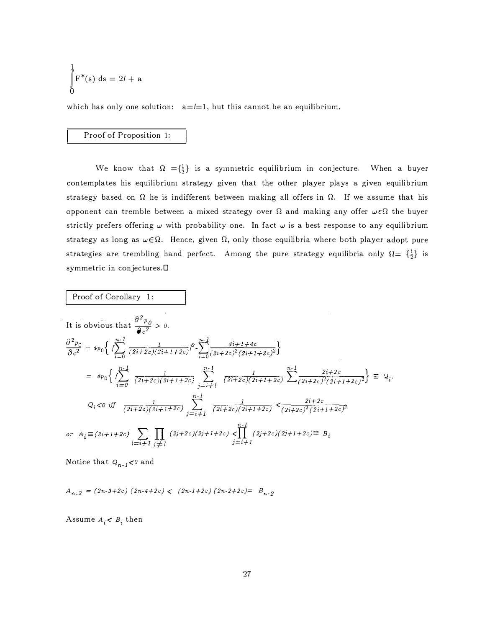$$
\int_{0}^{1} F^*(s) ds = 2l + a
$$

which has only one solution:  $a = l = 1$ , but this cannot be an equilibrium.

## Proof of Proposition 1:

We know that  $\Omega = {\frac{1}{2}}$  is a symmetric equilibrium in conjecture. When a buyer contemplates his equilibrium strategy given that the other player plays a given equilibrium strategy based on  $\Omega$  he is indifferent between making all offers in  $\Omega$ . If we assume that his opponent can tremble between a mixed strategy over  $\Omega$  and making any offer  $\omega \in \Omega$  the buyer strictly prefers offering  $\omega$  with probability one. In fact  $\omega$  is a best response to any equilibrium strategy as long as  $\omega \in \Omega$ . Hence, given  $\Omega$ , only those equilibria where both player adopt pure strategies are trembling hand perfect. Among the pure strategy equilibria only  $\Omega = \{\frac{1}{2}\}\$ is symmetric in conjectures.D

Proof of Corollary 1:

It is obvious that 
$$
\frac{\partial^2 p_0}{\partial c^2} > 0.
$$
  
\n
$$
\frac{\partial^2 p_0}{\partial c^2} = 4p_0 \Big\{ \Big\{ \sum_{i=0}^{n-1} \frac{1}{(2i+2c)(2i+1+2c)} \Big\}^2 - \sum_{i=0}^{n-1} \frac{4i+1+4c}{(2i+2c)^2(2i+1+2c)^2} \Big\}
$$
  
\n
$$
= 8p_0 \Big\{ \Big\{ \sum_{i=0}^{n-1} \frac{1}{(2i+2c)(2i+1+2c)} \sum_{j=i+1}^{n-1} \frac{1}{(2i+2c)(2i+1+2c)} \sum_{i=1}^{n-1} \frac{2i+2c}{(2i+2c)^2(2i+1+2c)^2} \Big\} = Q_i.
$$
  
\n
$$
Q_i < 0 \text{ iff } \frac{1}{(2i+2c)(2i+1+2c)} \sum_{j=i+1}^{n-1} \frac{1}{(2i+2c)(2i+1+2c)} < \frac{2i+2c}{(2i+2c)^2(2i+1+2c)^2}
$$
  
\nor  $A_i \equiv (2i+1+2c) \sum_{l=i+1} \prod_{j \neq l} (2j+2c)(2j+1+2c) < \prod_{j=i+1}^{n-1} (2j+2c)(2j+1+2c) \equiv B_i$ 

Notice that  $Q_{n-1}$ <0 and

 $A_{n-2} = (2n-3+2c) (2n-4+2c) < (2n-1+2c) (2n-2+2c) = B_{n-2}$ 

Assume  $A_i < B_i$  then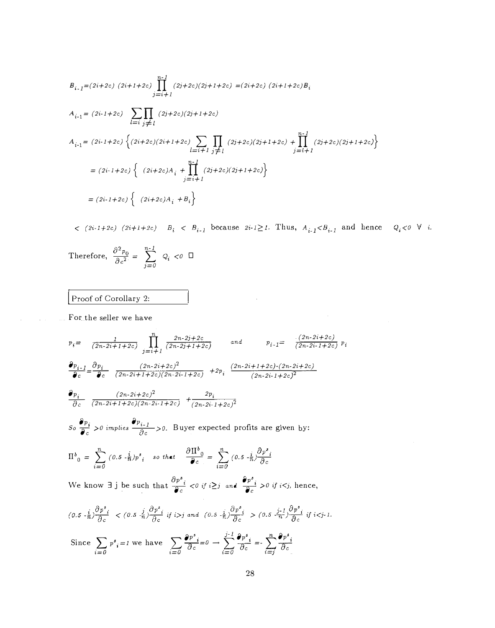$$
B_{i-1} = (2i + 2c) (2i + 1 + 2c) \prod_{j=i+1}^{n-1} (2j + 2c)(2j + 1 + 2c) = (2i + 2c) (2i + 1 + 2c)B_i
$$
  
\n
$$
A_{i-1} = (2i - 1 + 2c) \sum_{l=i} \prod_{j \neq l} (2j + 2c)(2j + 1 + 2c)
$$
  
\n
$$
A_{i-1} = (2i - 1 + 2c) \left\{ (2i + 2c)(2i + 1 + 2c) \sum_{l=i+1} \prod_{j \neq l} (2j + 2c)(2j + 1 + 2c) + \prod_{j=i+1}^{n-1} (2j + 2c)(2j + 1 + 2c) \right\}
$$
  
\n
$$
= (2i - 1 + 2c) \left\{ (2i + 2c)A_i + \prod_{j=i+1}^{n-1} (2j + 2c)(2j + 1 + 2c) \right\}
$$
  
\n
$$
= (2i - 1 + 2c) \left\{ (2i + 2c)A_i + B_i \right\}
$$

 $\hspace{1.6cm}<\hspace{1.2cm} (2i \cdot 1 + 2c) \hspace{1.2cm} (2i+1+2c) \hspace{1.2cm} B_i \hspace{1.2cm}<\hspace{1.2cm} B_{i-1} \hspace{1.2cm} \text{because} \hspace{1.2cm} 2i \cdot 1 \geq 1. \hspace{1.2cm} \text{Thus,} \hspace{1.2cm} A_{i-1} < B_{i-1} \hspace{1.2cm} \text{and} \hspace{1.2cm} \text{hence} \hspace{1.2cm} Q_i < 0 \hspace{1.2cm} \forall \hspace{1.2cm} i$ 

 $\label{eq:2.1} \frac{1}{\sqrt{2\pi}}\int_{0}^{\infty}\frac{1}{\sqrt{2\pi}}\int_{0}^{\infty}\frac{1}{\sqrt{2\pi}}\int_{0}^{\infty}\frac{1}{\sqrt{2\pi}}\int_{0}^{\infty}\frac{1}{\sqrt{2\pi}}\int_{0}^{\infty}\frac{1}{\sqrt{2\pi}}\int_{0}^{\infty}\frac{1}{\sqrt{2\pi}}\int_{0}^{\infty}\frac{1}{\sqrt{2\pi}}\int_{0}^{\infty}\frac{1}{\sqrt{2\pi}}\int_{0}^{\infty}\frac{1}{\sqrt{2\pi}}\int_{0}^{\infty}\$ 

Therefore, 
$$
\frac{\partial^2 p_0}{\partial c^2} = \sum_{j=0}^{n-1} Q_j < 0 \quad \Box
$$

[ Proof of Corollary 2:

For the seller we have

$$
p_i = \frac{1}{(2n-2i+1+2c)} \prod_{j=i+1}^{n} \frac{2n-2j+2c}{(2n-2j+1+2c)} \quad \text{and} \quad p_{i-1} = \frac{(2n-2i+2c)}{(2n-2i-1+2c)} p_i
$$
\n
$$
\frac{\partial p_{i-1}}{\partial c} = \frac{\partial p_i}{\partial c} \frac{(2n-2i+2c)^2}{(2n-2i+1+2c)(2n-2i-1+2c)} + 2p_i \frac{(2n-2i+1+2c)(2n-2i+2c)}{(2n-2i-1+2c)^2}
$$
\n
$$
\frac{\partial p_i}{\partial c} \frac{(2n-2i+2c)^2}{(2n-2i+1+2c)(2n-2i-1+2c)} + \frac{2p_i}{(2n-2i-1+2c)^2}
$$
\nSo  $\frac{\partial p_i}{\partial c} > 0$  implies  $\frac{\partial p_{i-1}}{\partial c} > 0$ . Buyer expected profits are given by:  
\n
$$
\Pi^b{}_0 = \sum_{i=0}^n (0.5 - \frac{i}{n})p^s{}_i \quad \text{so that} \quad \frac{\partial \Pi^b{}_0}{\partial c} = \sum_{i=0}^n (0.5 - \frac{i}{n}) \frac{\partial p^s{}_i}{\partial c}
$$
\nWe know  $\exists$  j be such that  $\frac{\partial p^s{}_i}{\partial c} < 0$  if  $i \geq j$  and  $\frac{\partial p^s{}_i}{\partial c} > 0$  if  $i < j$ , hence,  
\n
$$
(0.5 - \frac{i}{n}) \frac{\partial p^s{}_i}{\partial c} < (0.5 - \frac{i}{n}) \frac{\partial p^s{}_i}{\partial c} \text{ if } i > j \text{ and } (0.5 - \frac{i}{n}) \frac{\partial p^s{}_i}{\partial c} > (0.5 - \frac{j-1}{n}) \frac{\partial p^s{}_i}{\partial c} \text{ if } i < j - 1.
$$
\nSince  $\sum_{i=0} p^s{}_i = 1$  we have  $\sum_{i=0} \frac{\partial p^s{}_i}{\partial c} = 0 \rightarrow \sum_{i=0}^{j-1} \frac{\partial p^s{}_i}{\partial c} = -\sum_{i=0}^{j-1} \$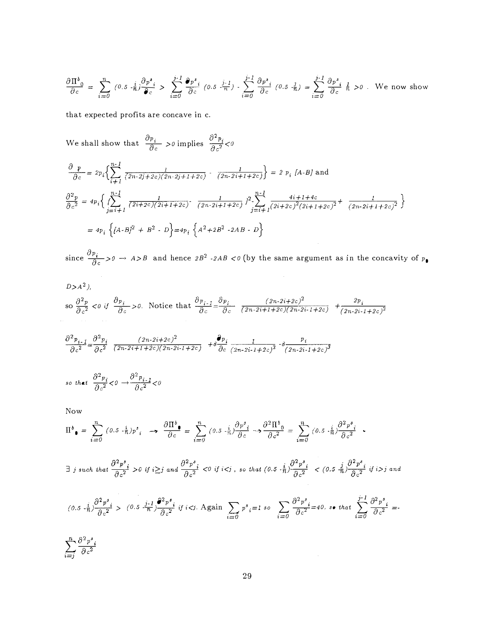$$
\frac{\partial \Pi^{b}_{\;0}}{\partial c} = \sum_{i=0}^{n} (0.5 \cdot \frac{i}{n}) \frac{\partial p^{s}_{\;i}}{\partial c} > \sum_{i=0}^{j-1} \frac{\partial p^{s}_{\;i}}{\partial c} (0.5 \cdot \frac{j-1}{n}) \cdot \sum_{i=0}^{j-1} \frac{\partial p^{s}_{\;i}}{\partial c} (0.5 \cdot \frac{j}{n}) = \sum_{i=0}^{j-1} \frac{\partial p^{s}_{\;i}}{\partial c} \frac{j}{n} > 0. \text{ We now show}
$$

that expected profits are concave in c.

We shall show that  $\frac{\partial p_i}{\partial c} > 0$  implies  $\frac{\partial^2 p_i}{\partial c^2} < 0$ 

$$
\frac{\partial p}{\partial c} = 2p_i \Big\{ \sum_{i=1}^{n-1} \frac{1}{(2n-2j+2c)(2n-2j+1+2c)} - \frac{1}{(2n-2i+1+2c)} \Big\} = 2 p_i [A-B] \text{ and}
$$
\n
$$
\frac{\partial^2 p}{\partial c^2} = 4p_i \Big\{ \sum_{j=i+1}^{n-1} \frac{1}{(2i+2c)(2i+1+2c)} - \frac{1}{(2n-2i+1+2c)} \Big\}^2 - \sum_{j=i+1}^{n-1} \frac{4i+1+4c}{(2i+2c)^2(2i+1+2c)^2} + \frac{1}{(2n-2i+1+2c)^2} \Big\}
$$
\n
$$
= 4p_i \Big\{ [A-B]^2 + B^2 - D \Big\} = 4p_i \Big\{ A^2 + 2B^2 - 2AB - D \Big\}
$$

since  $\frac{\partial p_i}{\partial c} > 0$   $\to A > B$  and hence  $2B^2$  -2AB <0 (by the same argument as in the concavity of  $p_{\bullet}$ 

$$
D > A^2
$$

$$
\text{so } \frac{\partial^2 p}{\partial c^2} < 0 \text{ if } \frac{\partial p_i}{\partial c} > 0. \text{ Notice that } \frac{\partial p_{i-1}}{\partial c} = \frac{\partial p_i}{\partial c} \frac{(2n-2i+2c)^2}{(2n-2i+1+2c)(2n-2i-1+2c)} + \frac{2p_i}{(2n-2i+1+2c)^2}
$$

$$
\frac{\partial^2 p_{i-1}}{\partial c^2} = \frac{\partial^2 p_i}{\partial c^2} \frac{(2n-2i+2c)^2}{(2n-2i+1+2c)(2n-2i-1+2c)} + \delta \frac{\partial p_i}{\partial c} \frac{1}{(2n-2i-1+2c)^2} - \delta \frac{p_i}{(2n-2i-1+2c)^3}
$$

so that 
$$
\frac{\partial^2 p_i}{\partial c^2} < 0 \rightarrow \frac{\partial^2 p_{i-1}}{\partial c^2} < 0
$$

Now

$$
\Pi^{b}_{\bullet} = \sum_{i=0}^{n} (0.5 \cdot \frac{i}{n}) p^{s}_{i} \rightarrow \frac{\partial \Pi^{b}_{\bullet}}{\partial c} = \sum_{i=0}^{n} (0.5 \cdot \frac{i}{n}) \frac{\partial p^{s}_{\bullet}}{\partial c} \rightarrow \frac{\partial^{2} \Pi^{b}_{\bullet}}{\partial c^{2}} = \sum_{i=0}^{n} (0.5 \cdot \frac{i}{n}) \frac{\partial^{2} p^{s}_{\bullet}}{\partial c^{2}}.
$$

$$
\exists \ j \ such \ that \ \frac{\partial^2 p^s{}_i}{\partial c^2} > 0 \ \ if \ i \geq j \ \ and \ \frac{\partial^2 p^s{}_i}{\partial c^2} < 0 \ \ if \ i < j \ , \ so \ that \ \left(0.5 - \frac{i}{n}\right) \frac{\partial^2 p^s{}_i}{\partial c^2} \ \ < \ \left(0.5 - \frac{j}{n}\right) \frac{\partial^2 p^s{}_i}{\partial c^2} \ \ if \ i > j \ \ and \ \frac{\partial^2 p^s{}_i}{\partial c^2} < 0 \ \ and \ \frac{\partial^2 p^s{}_i}{\partial c^2} < 0 \ \ and \ \frac{\partial^2 p^s{}_i}{\partial c^2} < 0 \ \ and \ \frac{\partial^2 p^s{}_i}{\partial c^2} < 0 \ \ and \ \frac{\partial^2 p^s{}_i}{\partial c^2} < 0 \ \ and \ \frac{\partial^2 p^s{}_i}{\partial c^2} < 0 \ \ and \ \frac{\partial^2 p^s{}_i}{\partial c^2} < 0 \ \ and \ \frac{\partial^2 p^s{}_i}{\partial c^2} < 0 \ \ and \ \frac{\partial^2 p^s{}_i}{\partial c^2} < 0 \ \ and \ \frac{\partial^2 p^s{}_i}{\partial c^2} < 0 \ \ and \ \frac{\partial^2 p^s{}_i}{\partial c^2} < 0 \ \ and \ \frac{\partial^2 p^s{}_i}{\partial c^2} < 0 \ \ and \ \frac{\partial^2 p^s{}_i}{\partial c^2} < 0 \ \ and \ \frac{\partial^2 p^s{}_i}{\partial c^2} < 0 \ \ and \ \frac{\partial^2 p^s{}_i}{\partial c^2} < 0 \ \ and \ \frac{\partial^2 p^s{}_i}{\partial c^2} < 0 \ \ and \ \frac{\partial^2 p^s{}_i}{\partial c^2} < 0 \ \ and \ \frac{\partial^2 p^s{}_i}{\partial c^2} < 0 \ \ and \ \frac{\partial^2 p^s{}_i}{\partial c^2} < 0 \ \ and \ \frac{\partial^2 p^s{}_i}{\partial c^2} < 0 \ \ and \ \frac{\partial^2 p^s{}_i}{\partial c^2} < 0 \ \ and \ \frac{\partial^2 p^s{}_i}{\partial c^2} < 0 \ \ and \ \frac{\partial^2 p^s{}_i}{\partial c^2} < 0 \ \ and \ \frac{\partial^2 p^s{}_i}{\partial c^2} < 0 \ \ and \ \
$$

$$
(0.5-\frac{i}{n})\frac{\partial^2 p^s}{\partial c^2} > (0.5-\frac{j-1}{n})\frac{\partial^2 p^s}{\partial c^2} \text{ if } i < j. \text{ Again } \sum_{i=0} p^s_i = 1 \text{ so } \sum_{i=0} \frac{\partial^2 p^s}{\partial c^2} = 40, \text{ so that } \sum_{i=0} \frac{j-1}{\partial c^2} \frac{\partial^2 p^s}{\partial c^2} = -\frac{1}{2} \frac{\partial^2 p^s}{\partial c^2} \text{ and } \sum_{i=0} \frac{j-1}{\partial c^2} \frac{\partial^2 p^s}{\partial c^2} = 0
$$

 $\sum_{i=j}^n \frac{\partial^2 p^s_i}{\partial c^2}$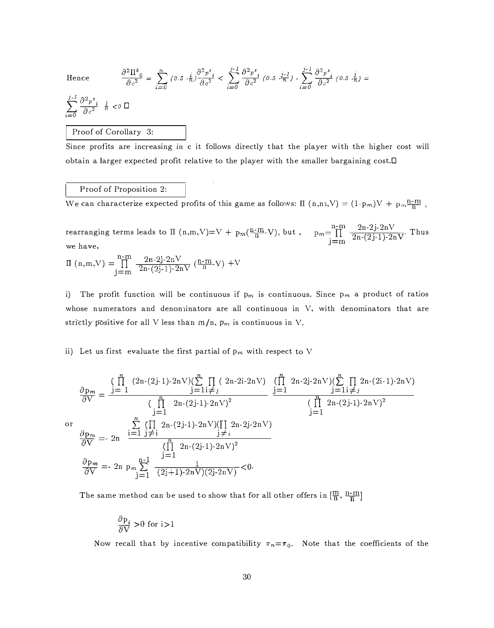**O** 

Hence 
$$
\frac{\partial^2 \Pi^b}{\partial c^2} = \sum_{i=0}^n (0.5 \cdot \frac{i}{n}) \frac{\partial^2 p^s}{\partial c^2} < \sum_{i=0}^{j-1} \frac{\partial^2 p^s}{\partial c^2} (0.5 \cdot \frac{j-1}{n}) - \sum_{i=0}^{j-1} \frac{\partial^2 p^s}{\partial c^2} (0.5 \cdot \frac{j}{n}) =
$$

$$
\sum_{i=0}^{j-l} \frac{\partial^2 p^s_i}{\partial c^2} \quad \frac{l}{n} < 0 \quad \Box
$$

## Proof of Corollary 3:

Since profits are increasing in c it follows directly that the player with the higher cost will obtain a larger expected profit relative to the player with the smaller bargaining cost.D

# Proof of Proposition 2:

We can characterize expected profits of this game as follows: II  $(n, n, V) = (1-p_m)V + p_m \frac{n-m}{n}$ 

rearranging terms leads to  $\Pi$  (n,m,V)=V + pm( $\frac{\text{n-m}}{\text{n}}$ -V), but , we have,  $\frac{2n-2j-2nV}{2n-(2j-1)-2nV}$ . Thus

$$
\Pi (n,m,V) = \prod_{j=m}^{n-m} \frac{2n-2j-2nV}{2n-(2j-1)-2nV} ( \tfrac{n-m}{n} - V ) + V
$$

i) The profit function will be continuous if  $p_m$  is continuous. Since  $p_m$  a product of ratios whose numerators and denoninators are all continuous in  $V$ , with denominators that are strictly positive for all V less than  $m/n$ ,  $p_m$  is continuous in V.

ii) Let us first evaluate the first partial of  $p_m$  with respect to V

$$
\frac{\partial \mathbf{p}_{m}}{\partial V} = \frac{\left(\prod_{j=1}^{n} (2n - (2j - 1) - 2n)V)\right)\left(\sum_{j=1}^{n} \prod_{j=1} (2n - 2i - 2nV)\right)}{\left(\prod_{j=1}^{n} 2n - (2j - 1) - 2nV\right)^{2}} \quad \frac{j=1}{j=1} \quad \frac{j=1 \neq j}{j=1} \quad \frac{\prod_{j=1}^{n} (2n - (2j - 1) - 2nV)^{2}}{\left(\prod_{j=1}^{n} 2n - (2j - 1) - 2nV\right)^{2}} \quad \frac{\prod_{j=1}^{n} (2n - (2j - 1) - 2nV)^{2}}{\left(\prod_{j=1}^{n} 2n - (2j - 1) - 2nV\right)^{2}} \quad \frac{\partial \mathbf{p}_{m}}{\partial V} = 2n \quad \frac{\sum_{j=1}^{n} (\prod_{j=1}^{n} 2n - (2j - 1) - 2nV)^{2}}{\left(\prod_{j=1}^{n} 2n - (2j - 1) - 2nV\right)^{2}} \quad \frac{\partial \mathbf{p}_{m}}{\partial V} = -2n \quad \mathbf{p}_{m} \sum_{j=1}^{n-1} \frac{1}{(2j+1) - 2nV)(2j - 2nV)} < 0.
$$

The same method can be used to show that for all other offers in  $[\frac{m}{\rm n},\frac{{\rm n}\cdot{\rm m}}{\rm n}]$ 

$$
\frac{\partial \mathbf{p}_i}{\partial \mathbf{V}} > 0 \text{ for } i > 1
$$

Now recall that by incentive compatibility  $\pi_n = \pi_0$ . Note that the coefficients of the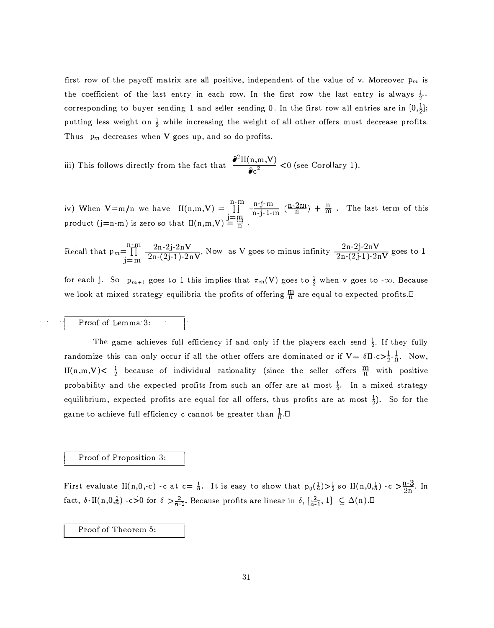first row of the payoff matrix are all positive, independent of the value of v. Moreover  $p_m$  is the coefficient of the last entry in each row. In the first row the last entry is always  $\frac{1}{2}$ corresponding to buyer sending 1 and seller sending 0. In the first row all entries are in  $[0,\frac{1}{2}]$ ; putting less weight on  $\frac{1}{2}$  while increasing the weight of all other offers must decrease profits. Thus  $p_m$  decreases when V goes up, and so do profits.

iii) This follows directly from the fact that  $\frac{\partial^2 \text{II}(n,m,\text{V})}{\partial c^2} < 0$  (see Corollary 1).

 $\prod_{i=1}^{n-m}$ iv) When  $V=m/n$  we have  $II(n,m,V) = \prod_{i=m}^{n-m}$ product (j=n-m) is zero so that  $II(n,m,V)$   $\frac{j+m}{m}$  $\frac{n-j-m}{n-j-1-m}$   $(\frac{n-2m}{n}) + \frac{n}{m}$ . The last term of this

Recall that 
$$
p_m = \prod_{j=m}^{n-m} \frac{2n-2j-2nV}{2n-(2j-1)-2nV}
$$
. Now as V goes to minus infinity  $\frac{2n-2j-2nV}{2n-(2j-1)-2nV}$  goes to 1

for each j. So  $p_{m+1}$  goes to 1 this implies that  $\pi_m(V)$  goes to  $\frac{1}{2}$  when v goes to - $\infty$ . Because we look at mixed strategy equilibria the profits of offering  $\frac{m}{n}$  are equal to expected profits.  $\square$ 

# Proof of Lemma 3:

The game achieves full efficiency if and only if the players each send  $\frac{1}{2}$ . If they fully randomize this can only occur if all the other offers are dominated or if  $V = \delta \Pi \cdot c > \frac{1}{2} \cdot \frac{1}{n}$ . Now, II(n,m,V)<  $\frac{1}{2}$  because of individual rationality (since the seller offers  $\frac{m}{n}$  with positive probability and the expected profits from such an offer are at most  $\frac{1}{2}$ . In a mixed strategy equilibrium, expected profits are equal for all offers, thus profits are at most  $\frac{1}{2}$ ). So for the game to achieve full efficiency c cannot be greater than  $\frac{1}{n}$ .

### Proof of Proposition 3:

First evaluate II(n,0,-c) -c at  $c=\frac{1}{n}$ . It is easy to show that  $p_0(\frac{1}{n})>\frac{1}{2}$  so II(n,0, $\frac{1}{n}$ ) -c  $>\frac{n-3}{2n}$ . In fact,  $\delta \cdot \text{II}(n,0,\frac{1}{n})$  -c>0 for  $\delta > \frac{2}{n-1}$ . Because profits are linear in  $\delta$ ,  $\left[\frac{2}{n-1}, 1\right] \subseteq \Delta(n)$ .

Proof of Theorem 5: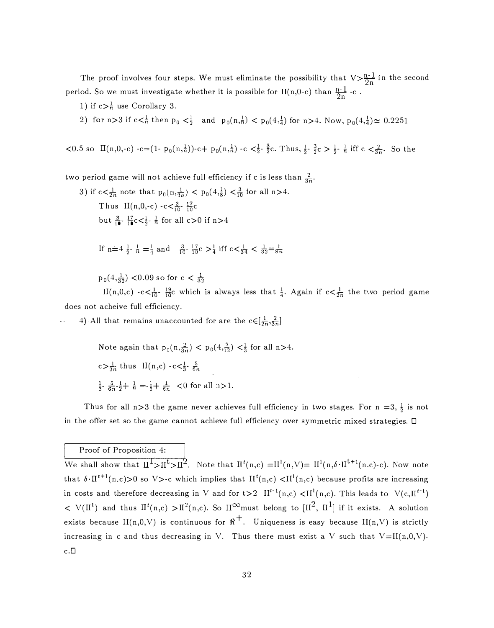The proof involves four steps. We must eliminate the possibility that  $V>\frac{n-1}{2n}$  in the second period. So we must investigate whether it is possible for II(n,0-c) than  $\frac{n-1}{2n}$  -c.

- 1) if  $c > \frac{1}{n}$  use Corollary 3.
- 2) for  $n>3$  if  $c<\frac{1}{n}$  then  $p_0 < \frac{1}{2}$  and  $p_0(n,\frac{1}{n}) < p_0(4,\frac{1}{4})$  for  $n>4$ . Now,  $p_0(4,\frac{1}{4}) \approx 0.2251$
- $< 0.5$  so  $\text{II}(n,0,-c)$  -c= $(1-p_0(n,\frac{1}{n}))$ -c +  $p_0(n,\frac{1}{n})$ -c  $\lt \frac{1}{2}$   $\frac{3}{2}$ c. Thus,  $\frac{1}{2}$   $\frac{3}{2}$ c  $> \frac{1}{2}$   $\frac{1}{n}$  iff c  $\lt \frac{2}{3n}$ . So the

two period game will not achieve full efficiency if c is less than  $\frac{2}{3n}$ .

3) if  $c < \frac{1}{2n}$  note that  $p_0(n, \frac{1}{2n}) < p_0(4, \frac{1}{8}) < \frac{3}{10}$  for all  $n > 4$ . Thus II(n,0,-c) -c  $\lt_{\frac{3}{10}}$ -  $\frac{17}{10}$ c but  $\frac{3}{10}$ - $\frac{17}{10}$ c $\lt \frac{1}{2}$ - $\frac{1}{n}$  for all c $>0$  if n $>4$ 

If 
$$
n=4\frac{1}{2}
$$
,  $\frac{1}{n}=\frac{1}{4}$  and  $\frac{3}{10}$ ,  $\frac{17}{10}c > \frac{1}{4}$  iff  $c < \frac{1}{34} < \frac{1}{32} = \frac{1}{8n}$ 

 $p_0(4,\frac{1}{32})$  <0.09 so for  $c < \frac{1}{32}$ 

II(n,0,c)  $-c < \frac{1}{10}$   $\frac{19}{10}$ c which is always less that  $\frac{1}{4}$ . Again if  $c < \frac{1}{2n}$  the two period game does not acheive full efficiency.

4) All that remains unaccounted for are the  $c \in [\frac{1}{2n}, \frac{2}{3n}]$ 

Note again that 
$$
p_0(n, \frac{2}{3n}) < p_0(4, \frac{2}{12}) < \frac{1}{3}
$$
 for all n>4.  
\n $c > \frac{1}{2n}$  thus  $II(n, c) - c < \frac{1}{3} \cdot \frac{5}{6n}$   
\n $\frac{1}{3} \cdot \frac{5}{6n} - \frac{1}{2} + \frac{1}{n} = -\frac{1}{6} + \frac{1}{6n} < 0$  for all n>1.

Thus for all n>3 the game never achieves full efficiency in two stages. For n =3,  $\frac{1}{2}$  is not in the offer set so the game cannot achieve full efficiency over symmetric mixed strategies.  $\Box$ 

# Proof of Proposition 4:

We shall show that  $\Pi^1>\Pi^1>\Pi^2$ . Note that  $\Pi^1(n,c)=\Pi^1(n,\vee)=\Pi^1(n,\delta\cdot\Pi^{t+1}(n.c)\cdot c)$ . Now note that  $\delta \cdot \Pi^{t+1}(n,c) > 0$  so V >-c which implies that  $\Pi^t(n,c) < \Pi^1(n,c)$  because profits are increasing in costs and therefore decreasing in V and for t>2  $II^{t-1}(n,c) < II^{1}(n,c)$ . This leads to  $V(c,II^{t-1})$  $V(H^1)$  and thus  $\Pi^t(n,c) > H^2(n,c)$ . So  $H^\infty$ must belong to  $[H^2,\ H^1]$  if it exists. A solution exists because  $\Pi(n,0,V)$  is continuous for  $\Re^+$ . Uniqueness is easy because  $\Pi(n,V)$  is strictly increasing in c and thus decreasing in V. Thus there must exist a V such that  $V=II(n,0,V)$ . c.D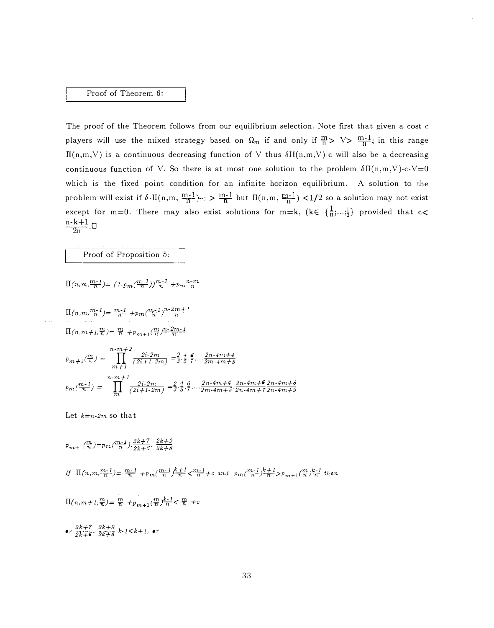### Proof of Theorem 6:

The proof of the Theorem follows from our equilibrium selection. Note first that given a cost c players will use the nixed strategy based on  $\Omega_m$  if and only if  $\frac{m}{n}$  >  $\vee$  >  $\frac{m-1}{n}$ ; in this range  $\Pi(n,m,V)$  is a continuous decreasing function of V thus  $\delta H(n,m,V)$ -c will also be a decreasing continuous function of V. So there is at most one solution to the problem  $\delta H(n,m,V)-c-V=0$ which is the fixed point condition for an infinite horizon equilibrium. A solution to the problem will exist if  $\delta \cdot$ II(n,m,  $\frac{m-1}{n}$ )-c  $>$   $\frac{m-1}{n}$  but II(n,m,  $\frac{m-1}{n}$ ) <1/2 so a solution may not exist except for m=0. There may also exist solutions for m=k, (k $\in \{\frac{1}{n}; \ldots, \frac{1}{2}\}$  provided that c<  $n-k+1$   $\cap$  $\overline{2n}$ .

## Proof of Proposition 5:

$$
\Pi(n,m,\frac{m-1}{n}) = (1-p_m(\frac{m-1}{n}))^{\frac{m-1}{n}} + p_m \frac{n-m}{n}
$$

$$
\Pi(n, m, \frac{m-1}{n}) = \frac{m-1}{n} + p_m(\frac{m-1}{n})\frac{n-2m+1}{n}
$$

$$
\Pi(n, m+1, \frac{m}{n}) = \frac{m}{n} + p_{m+1}(\frac{m}{n})\frac{n-2m-1}{n}
$$

$$
p_{m+1}(\frac{m}{n}) = \prod_{m+1}^{n-m+2} \frac{2i \cdot 2m}{(2i+1 \cdot 2m)} = \frac{2}{3} \cdot \frac{4}{5} \cdot \frac{6}{7} \dots \frac{2n \cdot 4m+4}{2m \cdot 4m+5}
$$
  

$$
p_m(\frac{m-1}{n}) = \prod_{m}^{n-m+1} \frac{2i \cdot 2m}{(2i+1 \cdot 2m)} = \frac{2}{3} \cdot \frac{4}{5} \cdot \frac{6}{7} \dots \frac{2n \cdot 4m+4}{2m \cdot 4m+5} \cdot \frac{2n \cdot 4m+6}{2n \cdot 4m+7} \frac{2n \cdot 4m+8}{2n \cdot 4m+9}
$$

Let  $k=n-2m$  so that

$$
p_{m+1}(\frac{m}{n}) = p_m(\frac{m-1}{n}) \cdot \frac{2k+7}{2k+6} \cdot \frac{2k+9}{2k+8}
$$
  
\nIf  $\Pi(n, m, \frac{m-1}{n}) = \frac{m-1}{n} + p_m(\frac{m-1}{n}) \frac{k+1}{n} < \frac{m-1}{n} + c$  and  $p_m(\frac{m-1}{n}) \frac{k+1}{n} > p_{m+1}(\frac{m}{n}) \frac{k-1}{n}$  then  
\n $\Pi(n, m+1, \frac{m}{n}) = \frac{m}{n} + p_{m+1}(\frac{m}{n}) \frac{k-1}{n} < \frac{m}{n} + c$   
\nor  $\frac{2k+7}{2k+6} \cdot \frac{2k+9}{2k+8} k \cdot 1 < k+1$ , or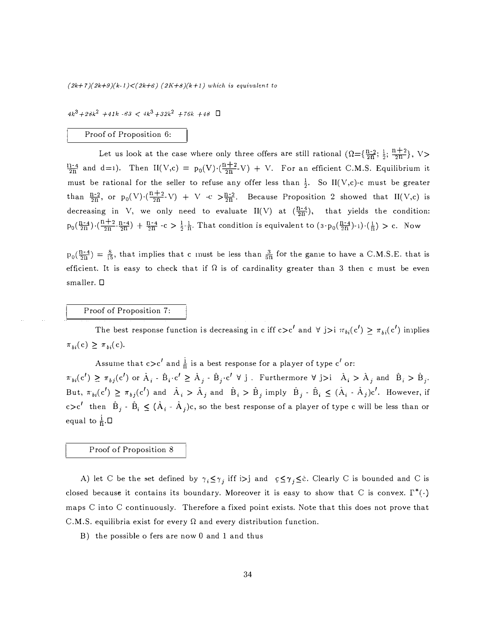$(2k+7)(2k+9)(k-1) < (2k+6)$   $(2K+8)(k+1)$  which is equivalent to

 $4k^3+28k^2$  +41k -63 <  $4k^3+32k^2$  +76k +48  $\Box$ 

#### Proof of Proposition 6:

Let us look at the case where only three offers are still rational  $(\Omega = {\frac{n-2}{2n}}; \frac{1}{2}; \frac{n+2}{2n}), V$  $\frac{11-4}{2n}$  and d=1). Then II(V,c) =  $p_0(V) \cdot (\frac{n+2}{2n} - V) + V$ . For an efficient C.M.S. Equilibrium it must be rational for the seller to refuse any offer less than  $\frac{1}{2}$ . So II(V,c)-c must be greater than  $\frac{n-2}{2n}$ , or  $p_0(V) \cdot (\frac{n+2}{2n}V) + V$  -c  $> \frac{n-2}{2n}$ . Because Proposition 2 showed that II(V,c) is decreasing in V, we only need to evaluate II(V) at  $(\frac{R-4}{2R})$ , that yields the condition:  $p_0(\frac{n-4}{2n}) \cdot (\frac{n+2}{2n} \cdot \frac{n-4}{2n}) + \frac{n-4}{2n} \cdot c > \frac{1}{2} \cdot \frac{1}{n}$ . That condition is equivalent to  $(3 \cdot p_0(\frac{n-4}{2n}) \cdot 1) \cdot (\frac{1}{n}) > c$ . Now

 $p_0(\frac{n-4}{2n}) = \frac{8}{15}$ , that implies that c must be less than  $\frac{3}{5n}$  for the game to have a C.M.S.E. that is efficient. It is easy to check that if  $\Omega$  is of cardinality greater than 3 then c must be even smaller. D

# Proof of Proposition 7:

The best response function is decreasing in c iff  $c>c'$  and  $\forall$  j>i  $\pi_{bi}(c') \geq \pi_{bi}(c')$  innplies  $\pi_{bi}(c) \geq \pi_{bi}(c).$ 

Assume that  $c > c'$  and  $\frac{1}{n}$  is a best response for a player of type  $c'$  or:

 $\pi_{bi}(c') \geq \pi_{bj}(c')$  or  $\hat{A}_i$  -  $\hat{B}_i \cdot c' \geq \hat{A}_j$  -  $\hat{B}_j \cdot c' \forall j$ . Furthermore  $\forall j>i$   $\hat{A}_i > \hat{A}_j$  and  $\hat{B}_i > \hat{B}_j$ . But,  $\pi_{bi}(c') \geq \pi_{bj}(c')$  and  $\hat{A}_i > \hat{A}_j$  and  $\hat{B}_i > \hat{B}_j$  imply  $\hat{B}_j - \hat{B}_i \leq (\hat{A}_i - \hat{A}_j)c'$ . However, if c>c<sup>1</sup> then  $\hat{B}_j$  -  $\hat{B}_i \leq (\hat{A}_i - \hat{A}_j)c$ , so the best response of a player of type c will be less than or equal to  $\frac{1}{n}$ .

Proof of Proposition 8

A) let C be the set defined by  $\gamma_i \leq \gamma_j$  iff  $i>j$  and  $c \leq \gamma_j \leq \tilde{c}$ . Clearly C is bounded and C is closed because it contains its boundary. Moreover it is easy to show that C is convex.  $\Gamma^*(\cdot)$ maps C into C continuously. Therefore a fixed point exists. Note that this does not prove that C.M.S. equilibria exist for every  $\Omega$  and every distribution function.

B) the possible o fers are now 0 and 1 and thus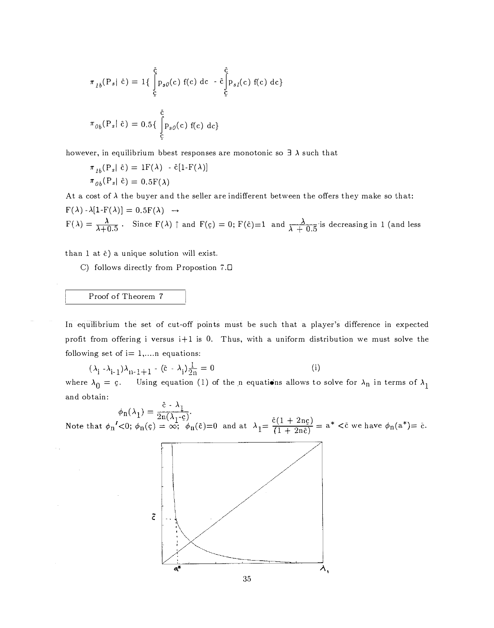$$
\pi_{1b}(P_s | \tilde{c}) = 1 \{ \int_{\tilde{c}}^{\tilde{c}} p_{s0}(c) f(c) dc - \hat{c} \int_{\tilde{c}}^{\tilde{c}} p_{s1}(c) f(c) dc \}
$$

$$
\pi_{0b}(P_s | \tilde{c}) = 0.5 \{ \int_{\tilde{c}}^{\tilde{c}} p_{s0}(c) f(c) dc \}
$$

however, in equilibrium bbest responses are monotonic so  $\exists \lambda$  such that

$$
\pi_{1b}(\mathbf{P}_s | \hat{\mathbf{c}}) = \mathbf{1}\mathbf{F}(\lambda) - \hat{\mathbf{c}}[\mathbf{1}\cdot\mathbf{F}(\lambda)]
$$

$$
\pi_{0b}(\mathbf{P}_s | \hat{\mathbf{c}}) = 0.5\mathbf{F}(\lambda)
$$

At a cost of  $\lambda$  the buyer and the seller are indifferent between the offers they make so that:<br> $\Gamma(\lambda)$ ,  $\Gamma(\lambda)$ ,  $\Gamma(\lambda)$ ,  $\Gamma(\lambda)$ ,  $\Gamma(\lambda)$  $F(\lambda) - \lambda[1-F(\lambda)] = 0.5F(\lambda) \rightarrow$  $F(\lambda) = \frac{\lambda}{\lambda + 0.5}$ . Since  $F(\lambda) \uparrow$  and  $F(\rho) = 0$ ;  $F(\hat{c}) = 1$  and  $\frac{\lambda}{\lambda + 0.5}$  is decreasing in 1 (and less

than 1 at  $\bar{c}$ ) a unique solution will exist.

C) follows directly from Propostion 7.0

# Proof of Theorem <sup>7</sup>

In equilibrium the set of cut-off points must be such that a player's difference in expected profit from offering i versus i+l is 0. Thus, with a uniform distribution we must solve the following set of  $i=1,...n$  equations:

$$
(\lambda_{\mathbf{i}} - \lambda_{\mathbf{i}-1})\lambda_{\mathbf{i} - 1} + 1 - (\tilde{\mathbf{c}} - \lambda_{\mathbf{i}})\frac{1}{2\mathbf{n}} = 0
$$
 (i)  
\n
$$
\lambda_{\mathbf{a}} = \mathbf{c}
$$
 Using equation (1) of the n equations allows to

where  $\lambda$  $_0 = c$ . Using equation (1) of the n equations allows to solve for  $\lambda_n$  in terms of  $\lambda_1$ . and obtain:

$$
\phi_{n}(\lambda_{1}) = \frac{c - \lambda_{1}}{2n(\lambda_{1} - c)}
$$

and at  $\lambda_1 = \frac{\bar{c}(1 + 2n\epsilon)}{(1 + 2n\epsilon)} = a^* < \bar{c}$  we have  $\phi_n(a^*) = \bar{c}$ .

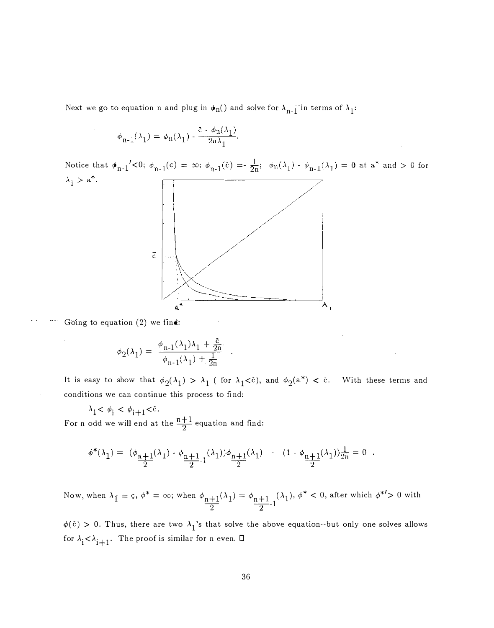Next we go to equation n and plug in  $\pmb{\phi}_\text{n}()$  and solve for  $\lambda_{\text{n-}1}^-$ in terms of  $\lambda_1^{}$ :

$$
\phi_{n-1}(\lambda_1) = \phi_n(\lambda_1) \cdot \frac{\bar{c} \cdot \phi_n(\lambda_1)}{2n\lambda_1}
$$

Notice that  $\phi_{n-1}'{<}0; \; \phi_{n-1}(\epsilon)$  $\lambda_1 > a^*$ .



Going to equation  $(2)$  we find:

$$
\phi_2(\lambda_1) = \frac{\phi_{n-1}(\lambda_1)\lambda_1 + \frac{\tilde{c}}{2n}}{\phi_{n-1}(\lambda_1) + \frac{1}{2n}}.
$$

It is easy to show that  $\phi_2(\lambda_1) > \lambda_1$  ( for  $\lambda_1<$ c), and  $\phi_2(\mathrm{a}^*) <$  c. With these terms and conditions we can continue this process to find:

 $\lambda_1 < \phi_i < \phi_{i+1} < \overline{c}$ . For n odd we will end at the  $\frac{n+1}{2}$  equation and find:

$$
\phi^*(\lambda_1) = (\phi_{\frac{n+1}{2}}(\lambda_1) - \phi_{\frac{n+1}{2}-1}(\lambda_1))\phi_{\frac{n+1}{2}}(\lambda_1) - (1 - \phi_{\frac{n+1}{2}}(\lambda_1))\frac{1}{2n} = 0.
$$

Now, when  $\lambda_{\dot 1}=\c{c},$   $\phi^*=\infty;$  when  $\phi_{\rm n+1}(\lambda_{\dot 1})=\phi_{\rm n+1}$  ( $\lambda_{\dot 1}),$   $\phi^*< 0,$  after which  $\phi^{*}>0$  with  $\frac{n+1}{2}$   $\frac{n+1}{2}$ -1

 $\phi(\tilde{\mathrm{c}}) > 0.$  Thus, there are two  $\lambda_1$ 's that solve the above equation--but only one solves allows for  $\lambda_i < \lambda_{i+1}$ . The proof is similar for n even.  $\Box$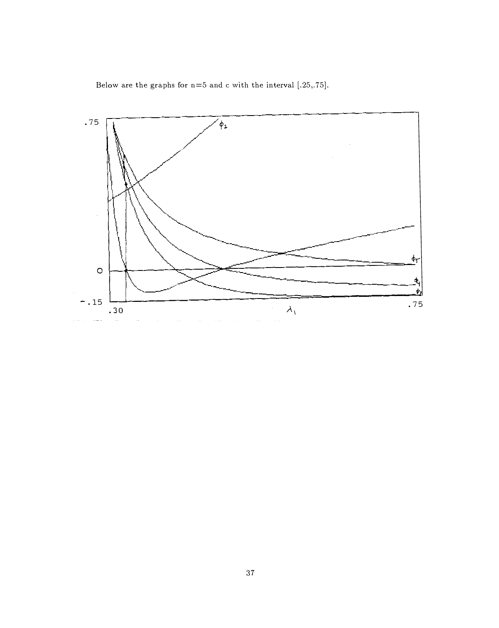